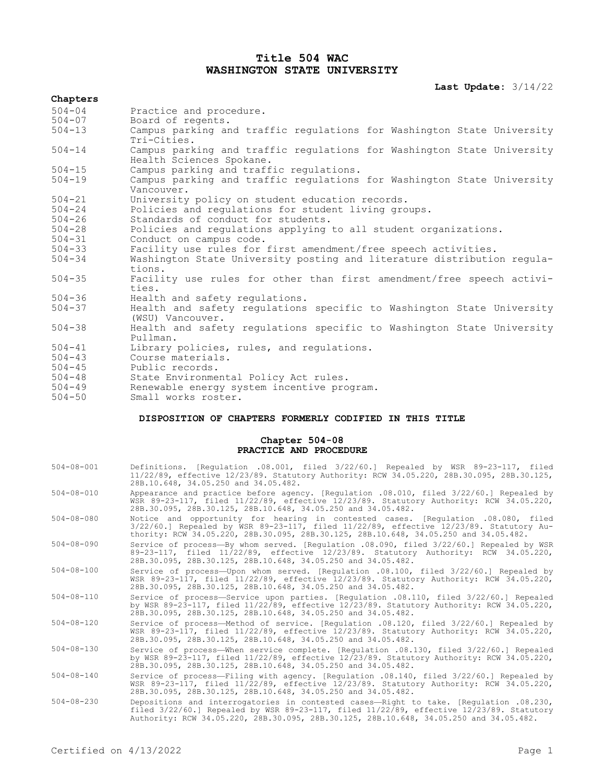# **Title 504 WAC WASHINGTON STATE UNIVERSITY**

**Last Update:** 3/14/22

| Chapters   |                                                                                                    |
|------------|----------------------------------------------------------------------------------------------------|
| $504 - 04$ | Practice and procedure.                                                                            |
| $504 - 07$ | Board of regents.                                                                                  |
| $504 - 13$ | Campus parking and traffic regulations for Washington State University<br>Tri-Cities.              |
| $504 - 14$ | Campus parking and traffic regulations for Washington State University<br>Health Sciences Spokane. |
| $504 - 15$ | Campus parking and traffic regulations.                                                            |
| $504 - 19$ | Campus parking and traffic regulations for Washington State University<br>Vancouver.               |
| $504 - 21$ | University policy on student education records.                                                    |
| $504 - 24$ | Policies and regulations for student living groups.                                                |
| $504 - 26$ | Standards of conduct for students.                                                                 |
| $504 - 28$ | Policies and regulations applying to all student organizations.                                    |
| $504 - 31$ | Conduct on campus code.                                                                            |
| $504 - 33$ | Facility use rules for first amendment/free speech activities.                                     |
| $504 - 34$ | Washington State University posting and literature distribution regula-<br>tions.                  |
| $504 - 35$ | Facility use rules for other than first amendment/free speech activi-<br>ties.                     |
| $504 - 36$ | Health and safety regulations.                                                                     |
| $504 - 37$ | Health and safety regulations specific to Washington State University<br>(WSU) Vancouver.          |
| $504 - 38$ | Health and safety regulations specific to Washington State University<br>Pullman.                  |
| $504 - 41$ | Library policies, rules, and regulations.                                                          |
| $504 - 43$ | Course materials.                                                                                  |
| $504 - 45$ | Public records.                                                                                    |
| $504 - 48$ | State Environmental Policy Act rules.                                                              |
| $504 - 49$ | Renewable energy system incentive program.                                                         |
| $504 - 50$ | Small works roster.                                                                                |

## **DISPOSITION OF CHAPTERS FORMERLY CODIFIED IN THIS TITLE**

## **Chapter 504-08 PRACTICE AND PROCEDURE**

| $504 - 08 - 001$ | Definitions. [Requlation .08.001, filed 3/22/60.] Repealed by WSR 89-23-117, filed<br>11/22/89, effective 12/23/89. Statutory Authority: RCW 34.05.220, 28B.30.095, 28B.30.125,<br>28B.10.648, 34.05.250 and 34.05.482.                                                      |
|------------------|------------------------------------------------------------------------------------------------------------------------------------------------------------------------------------------------------------------------------------------------------------------------------|
| $504 - 08 - 010$ | Appearance and practice before agency. [Regulation .08.010, filed 3/22/60.] Repealed by<br>WSR 89-23-117, filed 11/22/89, effective 12/23/89. Statutory Authority: RCW 34.05.220,<br>28B.30.095, 28B.30.125, 28B.10.648, 34.05.250 and 34.05.482.                            |
| $504 - 08 - 080$ | Notice and opportunity for hearing in contested cases. [Requlation .08.080, filed<br>$3/22/60.$ ] Repealed by WSR 89-23-117, filed $11/22/89$ , effective $12/23/89$ . Statutory Au-<br>thority: RCW 34.05.220, 28B.30.095, 28B.30.125, 28B.10.648, 34.05.250 and 34.05.482. |
| $504 - 08 - 090$ | Service of process-By whom served. [Requlation .08.090, filed 3/22/60.] Repealed by WSR<br>89-23-117, filed 11/22/89, effective 12/23/89. Statutory Authority: RCW 34.05.220,<br>28B.30.095, 28B.30.125, 28B.10.648, 34.05.250 and 34.05.482.                                |
| $504 - 08 - 100$ | Service of process-Upon whom served. [Regulation .08.100, filed 3/22/60.] Repealed by<br>WSR 89-23-117, filed 11/22/89, effective 12/23/89. Statutory Authority: RCW 34.05.220,<br>28B.30.095, 28B.30.125, 28B.10.648, 34.05.250 and 34.05.482.                              |
| $504 - 08 - 110$ | Service of process-Service upon parties. [Requlation .08.110, filed 3/22/60.] Repealed<br>by WSR 89-23-117, filed 11/22/89, effective 12/23/89. Statutory Authority: RCW 34.05.220,<br>28B.30.095, 28B.30.125, 28B.10.648, 34.05.250 and 34.05.482.                          |
| $504 - 08 - 120$ | Service of process—Method of service. [Requlation .08.120, filed 3/22/60.] Repealed by<br>WSR 89-23-117, filed 11/22/89, effective 12/23/89. Statutory Authority: RCW 34.05.220,<br>28B.30.095, 28B.30.125, 28B.10.648, 34.05.250 and 34.05.482.                             |
| $504 - 08 - 130$ | Service of process-When service complete. [Requlation .08.130, filed 3/22/60.] Repealed<br>by WSR 89-23-117, filed 11/22/89, effective 12/23/89. Statutory Authority: RCW 34.05.220,<br>28B.30.095, 28B.30.125, 28B.10.648, 34.05.250 and 34.05.482.                         |
| $504 - 08 - 140$ | Service of process-Filing with agency. [Regulation .08.140, filed 3/22/60.] Repealed by<br>WSR 89-23-117, filed 11/22/89, effective 12/23/89. Statutory Authority: RCW 34.05.220,<br>28B.30.095, 28B.30.125, 28B.10.648, 34.05.250 and 34.05.482.                            |
| $504 - 08 - 230$ | Depositions and interrogatories in contested cases-Right to take. [Regulation .08.230,<br>filed 3/22/60.1 Repealed by WSR 89-23-117, filed 11/22/89, effective 12/23/89. Statutory<br>Authority: RCW 34.05.220, 28B.30.095, 28B.30.125, 28B.10.648, 34.05.250 and 34.05.482. |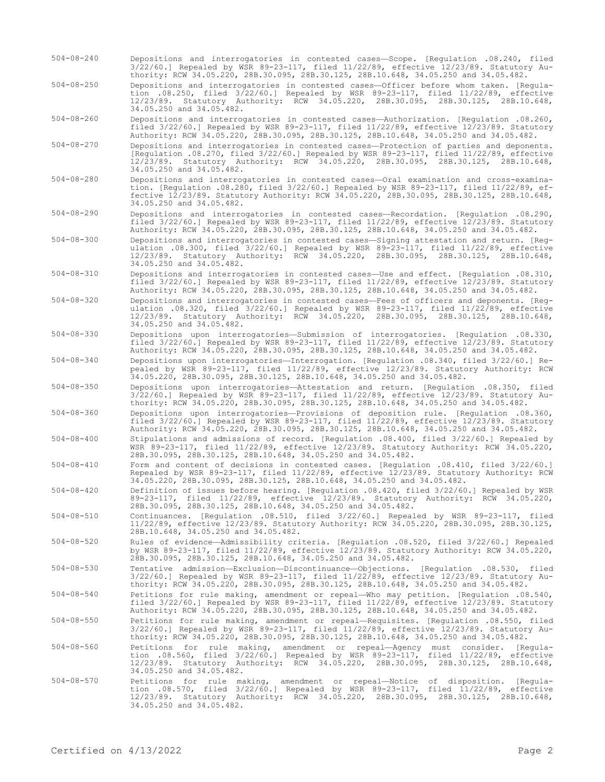- 504-08-240 Depositions and interrogatories in contested cases—Scope. [Regulation .08.240, filed 3/22/60.] Repealed by WSR 89-23-117, filed 11/22/89, effective 12/23/89. Statutory Authority: RCW 34.05.220, 28B.30.095, 28B.30.125, 28B.10.648, 34.05.250 and 34.05.482.
- 504-08-250 Depositions and interrogatories in contested cases—Officer before whom taken. [Regulation .08.250, filed 3/22/60.] Repealed by WSR 89-23-117, filed 11/22/89, effective 12/23/89. Statutory Authority: RCW 34.05.220, 28B.30.095, 28B.30.125, 28B.10.648, 34.05.250 and 34.05.482.

504-08-260 Depositions and interrogatories in contested cases—Authorization. [Regulation .08.260, filed 3/22/60.] Repealed by WSR 89-23-117, filed 11/22/89, effective 12/23/89. Statutory Authority: RCW 34.05.220, 28B.30.095, 28B.30.125, 28B.10.648, 34.05.250 and 34.05.482.

- 504-08-270 Depositions and interrogatories in contested cases—Protection of parties and deponents. [Regulation .08.270, filed 3/22/60.] Repealed by WSR 89-23-117, filed 11/22/89, effective 12/23/89. Statutory Authority: RCW 34.05.220, 28B.30.095, 28B.30.125, 28B.10.648, 34.05.250 and 34.05.482.
- 504-08-280 Depositions and interrogatories in contested cases—Oral examination and cross-examination. [Regulation .08.280, filed 3/22/60.] Repealed by WSR 89-23-117, filed 11/22/89, effective 12/23/89. Statutory Authority: RCW 34.05.220, 28B.30.095, 28B.30.125, 28B.10.648, 34.05.250 and 34.05.482.
- 504-08-290 Depositions and interrogatories in contested cases—Recordation. [Regulation .08.290, filed 3/22/60.] Repealed by WSR 89-23-117, filed 11/22/89, effective 12/23/89. Statutory Authority: RCW 34.05.220, 28B.30.095, 28B.30.125, 28B.10.648, 34.05.250 and 34.05.482.

504-08-300 Depositions and interrogatories in contested cases—Signing attestation and return. [Regulation .08.300, filed 3/22/60.] Repealed by WSR 89-23-117, filed 11/22/89, effective 12/23/89. Statutory Authority: RCW 34.05.220, 28B.30.095, 28B.30.125, 28B.10.648, 34.05.250 and 34.05.482.

- 504-08-310 Depositions and interrogatories in contested cases—Use and effect. [Regulation .08.310, filed 3/22/60.] Repealed by WSR 89-23-117, filed 11/22/89, effective 12/23/89. Statutory Authority: RCW 34.05.220, 28B.30.095, 28B.30.125, 28B.10.648, 34.05.250 and 34.05.482.
- 504-08-320 Depositions and interrogatories in contested cases—Fees of officers and deponents. [Regulation .08.320, filed 3/22/60.] Repealed by WSR 89-23-117, filed 11/22/89, effective 12/23/89. Statutory Authority: RCW 34.05.220, 28B.30.095, 28B.30.125, 28B.10.648, 34.05.250 and 34.05.482.
- 504-08-330 Depositions upon interrogatories—Submission of interrogatories. [Regulation .08.330, filed 3/22/60.] Repealed by WSR 89-23-117, filed 11/22/89, effective 12/23/89. Statutory Authority: RCW 34.05.220, 28B.30.095, 28B.30.125, 28B.10.648, 34.05.250 and 34.05.482.
- 504-08-340 Depositions upon interrogatories—Interrogation. [Regulation .08.340, filed 3/22/60.] Repealed by WSR 89-23-117, filed 11/22/89, effective 12/23/89. Statutory Authority: RCW 34.05.220, 28B.30.095, 28B.30.125, 28B.10.648, 34.05.250 and 34.05.482.
- 504-08-350 Depositions upon interrogatories—Attestation and return. [Regulation .08.350, filed 3/22/60.] Repealed by WSR 89-23-117, filed 11/22/89, effective 12/23/89. Statutory Authority: RCW 34.05.220, 28B.30.095, 28B.30.125, 28B.10.648, 34.05.250 and 34.05.482.
- 504-08-360 Depositions upon interrogatories—Provisions of deposition rule. [Regulation .08.360, filed 3/22/60.] Repealed by WSR 89-23-117, filed 11/22/89, effective 12/23/89. Statutory Authority: RCW 34.05.220, 28B.30.095, 28B.30.125, 28B.10.648, 34.05.250 and 34.05.482.
- 504-08-400 Stipulations and admissions of record. [Regulation .08.400, filed 3/22/60.] Repealed by WSR 89-23-117, filed 11/22/89, effective 12/23/89. Statutory Authority: RCW 34.05.220, 28B.30.095, 28B.30.125, 28B.10.648, 34.05.250 and 34.05.482.
- 504-08-410 Form and content of decisions in contested cases. [Regulation .08.410, filed 3/22/60.] Repealed by WSR 89-23-117, filed 11/22/89, effective 12/23/89. Statutory Authority: RCW 34.05.220, 28B.30.095, 28B.30.125, 28B.10.648, 34.05.250 and 34.05.482.
- 504-08-420 Definition of issues before hearing. [Regulation .08.420, filed 3/22/60.] Repealed by WSR 89-23-117, filed 11/22/89, effective 12/23/89. Statutory Authority: RCW 34.05.220, 28B.30.095, 28B.30.125, 28B.10.648, 34.05.250 and 34.05.482.
- 504-08-510 Continuances. [Regulation .08.510, filed 3/22/60.] Repealed by WSR 89-23-117, filed 11/22/89, effective 12/23/89. Statutory Authority: RCW 34.05.220, 28B.30.095, 28B.30.125, 28B.10.648, 34.05.250 and 34.05.482.
- 504-08-520 Rules of evidence—Admissibility criteria. [Regulation .08.520, filed 3/22/60.] Repealed by WSR 89-23-117, filed 11/22/89, effective 12/23/89. Statutory Authority: RCW 34.05.220, 28B.30.095, 28B.30.125, 28B.10.648, 34.05.250 and 34.05.482.
- 504-08-530 Tentative admission—Exclusion—Discontinuance—Objections. [Regulation .08.530, filed 3/22/60.] Repealed by WSR 89-23-117, filed 11/22/89, effective 12/23/89. Statutory Authority: RCW 34.05.220, 28B.30.095, 28B.30.125, 28B.10.648, 34.05.250 and 34.05.482.
- 504-08-540 Petitions for rule making, amendment or repeal—Who may petition. [Regulation .08.540, filed 3/22/60.] Repealed by WSR 89-23-117, filed 11/22/89, effective 12/23/89. Statutory Authority: RCW 34.05.220, 28B.30.095, 28B.30.125, 28B.10.648, 34.05.250 and 34.05.482.
- 504-08-550 Petitions for rule making, amendment or repeal—Requisites. [Regulation .08.550, filed 3/22/60.] Repealed by WSR 89-23-117, filed 11/22/89, effective 12/23/89. Statutory Authority: RCW 34.05.220, 28B.30.095, 28B.30.125, 28B.10.648, 34.05.250 and 34.05.482.
- 504-08-560 Petitions for rule making, amendment or repeal—Agency must consider. [Regula-<br>tion .08.560, filed 3/22/60.] Repealed by WSR 89-23-117, filed 11/22/89, effective<br>12/23/89. Statutory Authority: RCW 34.05.220, 28B. 34.05.250 and 34.05.482.
- 504-08-570 Petitions for rule making, amendment or repeal—Notice of disposition. [Regulation .08.570, filed 3/22/60.] Repealed by WSR 89-23-117, filed 11/22/89, effective 12/23/89. Statutory Authority: RCW 34.05.220, 28B.30.095, 28B.30.125, 28B.10.648, 34.05.250 and 34.05.482.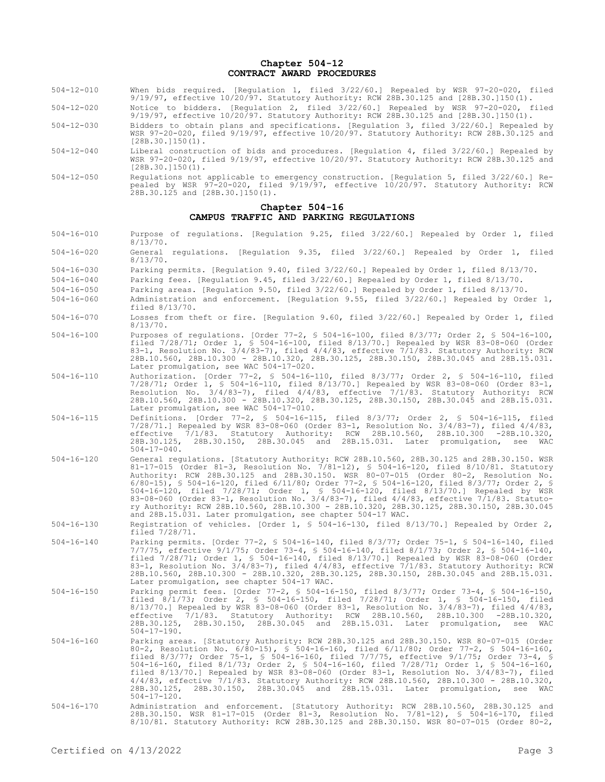#### **Chapter 504-12 CONTRACT AWARD PROCEDURES**

- 504-12-010 When bids required. [Regulation 1, filed 3/22/60.] Repealed by WSR 97-20-020, filed 9/19/97, effective 10/20/97. Statutory Authority: RCW 28B.30.125 and [28B.30.]150(1).
- 504-12-020 Notice to bidders. [Regulation 2, filed 3/22/60.] Repealed by WSR 97-20-020, filed 9/19/97, effective 10/20/97. Statutory Authority: RCW 28B.30.125 and [28B.30.]150(1).
- 504-12-030 Bidders to obtain plans and specifications. [Regulation 3, filed 3/22/60.] Repealed by WSR 97-20-020, filed 9/19/97, effective 10/20/97. Statutory Authority: RCW 28B.30.125 and [28B.30.]150(1).
- 504-12-040 Liberal construction of bids and procedures. [Regulation 4, filed 3/22/60.] Repealed by WSR 97-20-020, filed 9/19/97, effective 10/20/97. Statutory Authority: RCW 28B.30.125 and  $[28B.30.]150(1)$ .
- 504-12-050 Regulations not applicable to emergency construction. [Regulation 5, filed 3/22/60.] Repealed by WSR 97-20-020, filed 9/19/97, effective 10/20/97. Statutory Authority: RCW 28B.30.125 and [28B.30.]150(1).

#### **Chapter 504-16 CAMPUS TRAFFIC AND PARKING REGULATIONS**

- 504-16-010 Purpose of regulations. [Regulation 9.25, filed 3/22/60.] Repealed by Order 1, filed  $8/13/70$ .
- 504-16-020 General regulations. [Regulation 9.35, filed 3/22/60.] Repealed by Order 1, filed 8/13/70.
- 504-16-030 Parking permits. [Regulation 9.40, filed 3/22/60.] Repealed by Order 1, filed 8/13/70.
- 504-16-040 Parking fees. [Regulation 9.45, filed 3/22/60.] Repealed by Order 1, filed 8/13/70.
- 504-16-050 Parking areas. [Regulation 9.50, filed 3/22/60.] Repealed by Order 1, filed 8/13/70.
- 504-16-060 Administration and enforcement. [Regulation 9.55, filed 3/22/60.] Repealed by Order 1, filed 8/13/70.
- 504-16-070 Losses from theft or fire. [Regulation 9.60, filed 3/22/60.] Repealed by Order 1, filed 8/13/70.
- 504-16-100 Purposes of regulations. [Order 77-2, § 504-16-100, filed 8/3/77; Order 2, § 504-16-100, filed 7/28/71; Order 1, § 504-16-100, filed 8/13/70.] Repealed by WSR 83-08-060 (Order 83-1, Resolution No. 3/4/83-7), filed 4/4/83, effective 7/1/83. Statutory Authority: RCW 28B.10.560, 28B.10.300 - 28B.10.320, 28B.30.125, 28B.30.150, 28B.30.045 and 28B.15.031. Later promulgation, see WAC 504-17-020.
- 504-16-110 Authorization. [Order 77-2, § 504-16-110, filed 8/3/77; Order 2, § 504-16-110, filed 7/28/71; Order 1, § 504-16-110, filed 8/13/70.] Repealed by WSR 83-08-060 (Order 83-1, Resolution No. 3/4/83-7), filed 4/4/83, effective 7/1/83. Statutory Authority: RCW 28B.10.560, 28B.10.300 - 28B.10.320, 28B.30.125, 28B.30.150, 28B.30.045 and 28B.15.031. Later promulgation, see WAC 504-17-010.
- 504-16-115 Definitions. [Order 77-2, § 504-16-115, filed 8/3/77; Order 2, § 504-16-115, filed 7/28/71.] Repealed by WSR 83-08-060 (Order 83-1, Resolution No. 3/4/83-7), filed 4/4/83, effective 7/1/83. Statutory Authority: RCW 28B.10.560, 28B.10.300 -28B.10.320, 28B.30.125, 28B.30.150, 28B.30.045 and 28B.15.031. Later promulgation, see WAC  $504 - 17 - 040$ .
- 504-16-120 General regulations. [Statutory Authority: RCW 28B.10.560, 28B.30.125 and 28B.30.150. WSR 81-17-015 (Order 81-3, Resolution No. 7/81-12), § 504-16-120, filed 8/10/81. Statutory Authority: RCW 28B.30.125 and 28B.30.150. WSR 80-07-015 (Order 80-2, Resolution No. 6/80-15), § 504-16-120, filed 6/11/80; Order 77-2, § 504-16-120, filed 8/3/77; Order 2, § 504-16-120, filed 7/28/71; Order 1, § 504-16-120, filed 8/13/70.] Repealed by WSR 83-08-060 (Order 83-1, Resolution No. 3/4/83-7), filed 4/4/83, effective 7/1/83. Statutory Authority: RCW 28B.10.560, 28B.10.300 - 28B.10.320, 28B.30.125, 28B.30.150, 28B.30.045 and 28B.15.031. Later promulgation, see chapter 504-17 WAC.
- 504-16-130 Registration of vehicles. [Order 1, § 504-16-130, filed 8/13/70.] Repealed by Order 2, filed 7/28/71.
- 504-16-140 Parking permits. [Order 77-2, § 504-16-140, filed 8/3/77; Order 75-1, § 504-16-140, filed 7/7/75, effective 9/1/75; Order 73-4, § 504-16-140, filed 8/1/73; Order 2, § 504-16-140, filed 7/28/71; Order 1, § 504-16-140, filed 8/13/70.] Repealed by WSR 83-08-060 (Order 83-1, Resolution No. 3/4/83-7), filed 4/4/83, effective 7/1/83. Statutory Authority: RCW 28B.10.560, 28B.10.300 - 28B.10.320, 28B.30.125, 28B.30.150, 28B.30.045 and 28B.15.031. Later promulgation, see chapter 504-17 WAC.
- 504-16-150 Parking permit fees. [Order 77-2, § 504-16-150, filed 8/3/77; Order 73-4, § 504-16-150, filed 8/1/73; Order 2, § 504-16-150, filed 7/28/71; Order 1, § 504-16-150, filed 8/13/70.] Repealed by WSR 83-08-060 (Order 83-1, Resolution No. 3/4/83-7), filed 4/4/83, effective 7/1/83. Statutory Authority: RCW 28B.10.560, 28B.10.300 -28B.10.320, 28B.30.125, 28B.30.150, 28B.30.045 and 28B.15.031. Later promulgation, see WAC 504-17-190.
- 504-16-160 Parking areas. [Statutory Authority: RCW 28B.30.125 and 28B.30.150. WSR 80-07-015 (Order 80–2, Resolution No. 6/80–15), § 504–16–160, filed 6/11/80; Order 77–2, § 504–16–160,<br>filed 8/3/77; Order 75–1, § 504–16–160, filed 7/7/75, effective 9/1/75; Order 73–4, §<br>504–16–160, filed 8/1/73; Order 2, § 504–16–160, f filed 8/13/70.] Repealed by WSR 83-08-060 (Order 83-1, Resolution No. 3/4/83-7), filed 4/4/83, effective 7/1/83. Statutory Authority: RCW 28B.10.560, 28B.10.300 - 28B.10.320, 28B.30.125, 28B.30.150, 28B.30.045 and 28B.15.031. Later promulgation, see WAC 504-17-120.
- 504-16-170 Administration and enforcement. [Statutory Authority: RCW 28B.10.560, 28B.30.125 and 28B.30.150. WSR 81-17-015 (Order 81-3, Resolution No. 7/81-12), § 504-16-170, filed 8/10/81. Statutory Authority: RCW 28B.30.125 and 28B.30.150. WSR 80-07-015 (Order 80-2,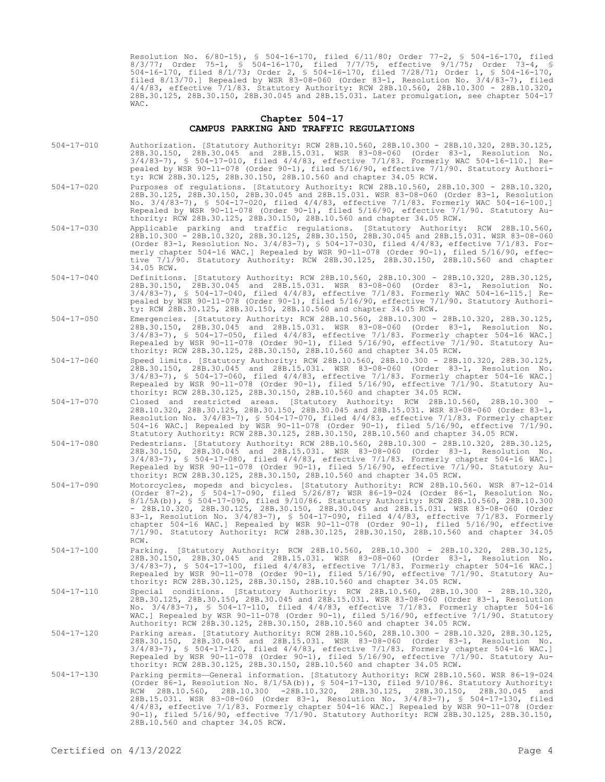Resolution No. 6/80-15), § 504-16-170, filed 6/11/80; Order 77-2, § 504-16-170, filed 8/3/77; Order 75-1, § 504-16-170, filed 7/7/75, effective 9/1/75; Order 73-4, § 504-16-170, filed 8/1/73; Order 2, § 504-16-170, filed 7/28/71; Order 1, § 504-16-170, filed 8/13/70.] Repealed by WSR 83-08-060 (Order 83-1, Resolution No. 3/4/83-7), filed 4/4/83, effective 7/1/83. Statutory Authority: RCW 28B.10.560, 28B.10.300 - 28B.10.320, 28B.30.125, 28B.30.150, 28B.30.045 and 28B.15.031. Later promulgation, see chapter 504-17 WAC.

#### **Chapter 504-17 CAMPUS PARKING AND TRAFFIC REGULATIONS**

| $504 - 17 - 010$ | Authorization. [Statutory Authority: RCW 28B.10.560, 28B.10.300 - 28B.10.320, 28B.30.125,<br>28B.30.150, 28B.30.045 and 28B.15.031. WSR 83-08-060 (Order 83-1, Resolution No.<br>$3/4/83-7$ , § 504-17-010, filed $4/4/83$ , effective 7/1/83. Formerly WAC 504-16-110.] Re-<br>pealed by WSR 90-11-078 (Order 90-1), filed 5/16/90, effective 7/1/90. Statutory Authori-<br>ty: RCW 28B.30.125, 28B.30.150, 28B.10.560 and chapter 34.05 RCW.                                                                                                                                                                                                         |
|------------------|--------------------------------------------------------------------------------------------------------------------------------------------------------------------------------------------------------------------------------------------------------------------------------------------------------------------------------------------------------------------------------------------------------------------------------------------------------------------------------------------------------------------------------------------------------------------------------------------------------------------------------------------------------|
| $504 - 17 - 020$ | Purposes of requlations. [Statutory Authority: RCW 28B.10.560, 28B.10.300 - 28B.10.320,<br>28B.30.125, 28B.30.150, 28B.30.045 and 28B.15.031. WSR 83-08-060 (Order 83-1, Resolution<br>No. $3/4/83$ -7), § 504-17-020, filed $4/4/83$ , effective $7/1/83$ . Formerly WAC 504-16-100.]<br>Repealed by WSR 90-11-078 (Order 90-1), filed 5/16/90, effective 7/1/90. Statutory Au-<br>thority: RCW 28B.30.125, 28B.30.150, 28B.10.560 and chapter 34.05 RCW.                                                                                                                                                                                             |
| $504 - 17 - 030$ | Applicable parking and traffic regulations. [Statutory Authority: RCW 28B.10.560,<br>28B.10.300 - 28B.10.320, 28B.30.125, 28B.30.150, 28B.30.045 and 28B.15.031. WSR 83-08-060<br>(Order 83-1, Resolution No. 3/4/83-7), § 504-17-030, filed $4/4/83$ , effective 7/1/83. For-<br>merly chapter 504-16 WAC.] Repealed by WSR 90-11-078 (Order 90-1), filed 5/16/90, effec-<br>tive 7/1/90. Statutory Authority: RCW 28B.30.125, 28B.30.150, 28B.10.560 and chapter<br>34.05 RCW.                                                                                                                                                                       |
| $504 - 17 - 040$ | Definitions. [Statutory Authority: RCW 28B.10.560, 28B.10.300 - 28B.10.320, 28B.30.125,<br>28B.30.150, 28B.30.045 and 28B.15.031. WSR 83-08-060 (Order 83-1, Resolution No.<br>$3/4/83$ -7), § 504-17-040, filed $4/4/83$ , effective 7/1/83. Formerly WAC 504-16-115.] Re-<br>pealed by WSR 90-11-078 (Order 90-1), filed 5/16/90, effective 7/1/90. Statutory Authori-<br>ty: RCW 28B.30.125, 28B.30.150, 28B.10.560 and chapter 34.05 RCW.                                                                                                                                                                                                          |
| $504 - 17 - 050$ | Emergencies. [Statutory Authority: RCW 28B.10.560, 28B.10.300 - 28B.10.320, 28B.30.125,<br>28B.30.150, 28B.30.045 and 28B.15.031. WSR 83-08-060 (Order 83-1, Resolution No.<br>$3/4/83$ -7), § 504-17-050, filed $4/4/83$ , effective 7/1/83. Formerly chapter 504-16 WAC.]<br>Repealed by WSR 90-11-078 (Order 90-1), filed 5/16/90, effective 7/1/90. Statutory Au-<br>thority: RCW 28B.30.125, 28B.30.150, 28B.10.560 and chapter 34.05 RCW.                                                                                                                                                                                                        |
| $504 - 17 - 060$ | Speed limits. [Statutory Authority: RCW 28B.10.560, 28B.10.300 - 28B.10.320, 28B.30.125,<br>28B.30.150, 28B.30.045 and 28B.15.031. WSR 83-08-060 (Order 83-1, Resolution No.<br>$3/4/83$ -7), § 504-17-060, filed $4/4/83$ , effective 7/1/83. Formerly chapter 504-16 WAC.]<br>Repealed by WSR 90-11-078 (Order 90-1), filed 5/16/90, effective 7/1/90. Statutory Au-<br>thority: RCW 28B.30.125, 28B.30.150, 28B.10.560 and chapter 34.05 RCW.                                                                                                                                                                                                       |
| $504 - 17 - 070$ | Closed and restricted areas. [Statutory Authority: RCW 28B.10.560, 28B.10.300 -<br>28B.10.320, 28B.30.125, 28B.30.150, 28B.30.045 and 28B.15.031. WSR 83-08-060 (Order 83-1,<br>Resolution No. $3/4/83-7$ ), § 504-17-070, filed $4/4/83$ , effective 7/1/83. Formerly chapter<br>504-16 WAC.] Repealed by WSR 90-11-078 (Order 90-1), filed 5/16/90, effective 7/1/90.<br>Statutory Authority: RCW 28B.30.125, 28B.30.150, 28B.10.560 and chapter 34.05 RCW.                                                                                                                                                                                          |
| $504 - 17 - 080$ | Pedestrians. [Statutory Authority: RCW 28B.10.560, 28B.10.300 - 28B.10.320, 28B.30.125,<br>28B.30.150, 28B.30.045 and 28B.15.031. WSR 83-08-060 (Order 83-1, Resolution No.<br>$3/4/83$ -7), § 504-17-080, filed $4/4/83$ , effective 7/1/83. Formerly chapter 504-16 WAC.]<br>Repealed by WSR 90-11-078 (Order 90-1), filed 5/16/90, effective 7/1/90. Statutory Au-<br>thority: RCW 28B.30.125, 28B.30.150, 28B.10.560 and chapter 34.05 RCW.                                                                                                                                                                                                        |
| $504 - 17 - 090$ | Motorcycles, mopeds and bicycles. [Statutory Authority: RCW 28B.10.560. WSR 87-12-014<br>(Order 87-2), § 504-17-090, filed 5/26/87; WSR 86-19-024 (Order 86-1, Resolution No.<br>8/1/5A(b)), § 504-17-090, filed 9/10/86. Statutory Authority: RCW 28B.10.560, 28B.10.300<br>- 28B.10.320, 28B.30.125, 28B.30.150, 28B.30.045 and 28B.15.031. WSR 83-08-060 (Order<br>83-1, Resolution No. 3/4/83-7), § 504-17-090, filed 4/4/83, effective 7/1/83. Formerly<br>chapter 504-16 WAC.] Repealed by WSR 90-11-078 (Order 90-1), filed 5/16/90, effective<br>7/1/90. Statutory Authority: RCW 28B.30.125, 28B.30.150, 28B.10.560 and chapter 34.05<br>RCW. |
| $504 - 17 - 100$ | Parking. [Statutory Authority: RCW 28B.10.560, 28B.10.300 - 28B.10.320, 28B.30.125,<br>28B.30.150, 28B.30.045 and 28B.15.031. WSR 83-08-060 (Order 83-1, Resolution No.<br>$3/4/83$ -7), § 504-17-100, filed $4/4/83$ , effective 7/1/83. Formerly chapter 504-16 WAC.]<br>Repealed by WSR 90-11-078 (Order 90-1), filed 5/16/90, effective 7/1/90. Statutory Au-<br>thority: RCW 28B.30.125, 28B.30.150, 28B.10.560 and chapter 34.05 RCW.                                                                                                                                                                                                            |
| $504 - 17 - 110$ | Special conditions. [Statutory Authority: RCW 28B.10.560, 28B.10.300 - 28B.10.320,<br>28B.30.125, 28B.30.150, 28B.30.045 and 28B.15.031. WSR 83-08-060 (Order 83-1, Resolution<br>No. 3/4/83-7), § 504-17-110, filed 4/4/83, effective 7/1/83. Formerly chapter 504-16<br>WAC.] Repealed by WSR 90-11-078 (Order 90-1), filed 5/16/90, effective 7/1/90. Statutory<br>Authority: RCW 28B.30.125, 28B.30.150, 28B.10.560 and chapter 34.05 RCW.                                                                                                                                                                                                         |
| $504 - 17 - 120$ | Parking areas. [Statutory Authority: RCW 28B.10.560, 28B.10.300 - 28B.10.320, 28B.30.125,<br>28B.30.150, 28B.30.045 and 28B.15.031. WSR 83-08-060 (Order 83-1, Resolution No.<br>$3/4/83-7$ , § 504-17-120, filed $4/4/83$ , effective 7/1/83. Formerly chapter 504-16 WAC.]<br>Repealed by WSR 90-11-078 (Order 90-1), filed 5/16/90, effective 7/1/90. Statutory Au-<br>thority: RCW 28B.30.125, 28B.30.150, 28B.10.560 and chapter 34.05 RCW.                                                                                                                                                                                                       |
| $504 - 17 - 130$ | Parking permits-General information. [Statutory Authority: RCW 28B.10.560. WSR 86-19-024<br>(Order 86-1, Resolution No. $8/1/5A(b)$ ), § 504-17-130, filed 9/10/86. Statutory Authority:<br>28B.10.560, 28B.10.300 -28B.10.320, 28B.30.125, 28B.30.150, 28B.30.045 and<br>RCW<br>28B.15.031. WSR 83-08-060 (Order 83-1, Resolution No. 3/4/83-7), § 504-17-130, filed<br>4/4/83, effective 7/1/83. Formerly chapter 504-16 WAC.] Repealed by WSR 90-11-078 (Order<br>90-1), filed 5/16/90, effective 7/1/90. Statutory Authority: RCW 28B.30.125, 28B.30.150,<br>28B.10.560 and chapter 34.05 RCW.                                                     |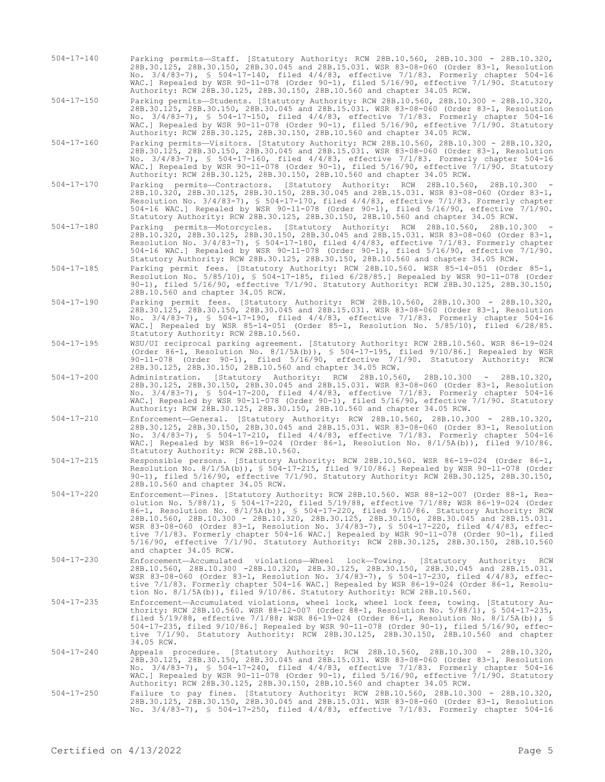504-17-140 Parking permits—Staff. [Statutory Authority: RCW 28B.10.560, 28B.10.300 - 28B.10.320, 28B.30.125, 28B.30.150, 28B.30.045 and 28B.15.031. WSR 83-08-060 (Order 83-1, Resolution No. 3/4/83-7), § 504-17-140, filed 4/4/83, effective 7/1/83. Formerly chapter 504-16 WAC.] Repealed by WSR 90-11-078 (Order 90-1), filed 5/16/90, effective 7/1/90. Statutory Authority: RCW 28B.30.125, 28B.30.150, 28B.10.560 and chapter 34.05 RCW.

504-17-150 Parking permits—Students. [Statutory Authority: RCW 28B.10.560, 28B.10.300 - 28B.10.320, 28B.30.125, 28B.30.150, 28B.30.045 and 28B.15.031. WSR 83-08-060 (Order 83-1, Resolution No. 3/4/83-7), § 504-17-150, filed 4/4/83, effective 7/1/83. Formerly chapter 504-16 WAC.] Repealed by WSR 90-11-078 (Order 90-1), filed 5/16/90, effective 7/1/90. Statutory Authority: RCW 28B.30.125, 28B.30.150, 28B.10.560 and chapter 34.05 RCW.

- 504-17-160 Parking permits—Visitors. [Statutory Authority: RCW 28B.10.560, 28B.10.300 28B.10.320, 28B.30.125, 28B.30.150, 28B.30.045 and 28B.15.031. WSR 83-08-060 (Order 83-1, Resolution No. 3/4/83-7), § 504-17-160, filed 4/4/83, effective 7/1/83. Formerly chapter 504-16 WAC.] Repealed by WSR 90-11-078 (Order 90-1), filed 5/16/90, effective 7/1/90. Statutory Authority: RCW 28B.30.125, 28B.30.150, 28B.10.560 and chapter 34.05 RCW.
- 504-17-170 Parking permits—Contractors. [Statutory Authority: RCW 28B.10.560, 28B.10.300 28B.10.320, 28B.30.125, 28B.30.150, 28B.30.045 and 28B.15.031. WSR 83-08-060 (Order 83-1, Resolution No. 3/4/83-7), § 504-17-170, filed 4/4/83, effective 7/1/83. Formerly chapter 504-16 WAC.] Repealed by WSR 90-11-078 (Order 90-1), filed 5/16/90, effective 7/1/90. Statutory Authority: RCW 28B.30.125, 28B.30.150, 28B.10.560 and chapter 34.05 RCW.
- 504-17-180 Parking permits—Motorcycles. [Statutory Authority: RCW 28B.10.560, 28B.10.300 28B.10.320, 28B.30.125, 28B.30.150, 28B.30.045 and 28B.15.031. WSR 83-08-060 (Order 83-1, Resolution No. 3/4/83-7), § 504-17-180, filed 4/4/83, effective 7/1/83. Formerly chapter 504-16 WAC.] Repealed by WSR 90-11-078 (Order 90-1), filed 5/16/90, effective 7/1/90. Statutory Authority: RCW 28B.30.125, 28B.30.150, 28B.10.560 and chapter 34.05 RCW.
- 504-17-185 Parking permit fees. [Statutory Authority: RCW 28B.10.560. WSR 85-14-051 (Order 85-1, Resolution No. 5/85/10), § 504-17-185, filed 6/28/85.] Repealed by WSR 90-11-078 (Order 90-1), filed 5/16/90, effective 7/1/90. Statutory Authority: RCW 28B.30.125, 28B.30.150, 28B.10.560 and chapter 34.05 RCW.
- 504-17-190 Parking permit fees. [Statutory Authority: RCW 28B.10.560, 28B.10.300 28B.10.320, 28B.30.125, 28B.30.150, 28B.30.045 and 28B.15.031. WSR 83-08-060 (Order 83-1, Resolution No. 3/4/83-7), § 504-17-190, filed 4/4/83, effective 7/1/83. Formerly chapter 504-16 WAC.] Repealed by WSR 85-14-051 (Order 85-1, Resolution No. 5/85/10), filed 6/28/85. Statutory Authority: RCW 28B.10.560.
- 504-17-195 WSU/UI reciprocal parking agreement. [Statutory Authority: RCW 28B.10.560. WSR 86-19-024 (Order 86-1, Resolution No. 8/1/5A(b)), § 504-17-195, filed 9/10/86.] Repealed by WSR 90-11-078 (Order 90-1), filed 5/16/90, effective 7/1/90. Statutory Authority: RCW 28B.30.125, 28B.30.150, 28B.10.560 and chapter 34.05 RCW.
- 504-17-200 Administration. [Statutory Authority: RCW 28B.10.560, 28B.10.300 28B.10.320, 28B.30.125, 28B.30.150, 28B.30.045 and 28B.15.031. WSR 83-08-060 (Order 83-1, Resolution No. 3/4/83-7), § 504-17-200, filed 4/4/83, effective 7/1/83. Formerly chapter 504-16 WAC.] Repealed by WSR 90-11-078 (Order 90-1), filed 5/16/90, effective 7/1/90. Statutory Authority: RCW 28B.30.125, 28B.30.150, 28B.10.560 and chapter 34.05 RCW.
- 504-17-210 Enforcement—General. [Statutory Authority: RCW 28B.10.560, 28B.10.300 28B.10.320, 28B.30.125, 28B.30.150, 28B.30.045 and 28B.15.031. WSR 83-08-060 (Order 83-1, Resolution No. 3/4/83-7), § 504-17-210, filed 4/4/83, effective 7/1/83. Formerly chapter 504-16 WAC.] Repealed by WSR 86-19-024 (Order 86-1, Resolution No. 8/1/5A(b)), filed 9/10/86. Statutory Authority: RCW 28B.10.560.
- 504-17-215 Responsible persons. [Statutory Authority: RCW 28B.10.560. WSR 86-19-024 (Order 86-1, Resolution No. 8/1/5A(b)), § 504-17-215, filed 9/10/86.] Repealed by WSR 90-11-078 (Order 90-1), filed 5/16/90, effective 7/1/90. Statutory Authority: RCW 28B.30.125, 28B.30.150, 28B.10.560 and chapter 34.05 RCW.
- 504-17-220 Enforcement—Fines. [Statutory Authority: RCW 28B.10.560. WSR 88-12-007 (Order 88-1, Resolution No. 5/88/1), § 504-17-220, filed 5/19/88, effective 7/1/88; WSR 86-19-024 (Order 86-1, Resolution No. 8/1/5A(b)), § 504-17-220, filed 9/10/86. Statutory Authority: RCW 28B.10.560, 28B.10.300 - 28B.10.320, 28B.30.125, 28B.30.150, 28B.30.045 and 28B.15.031. WSR 83-08-060 (Order 83-1, Resolution No. 3/4/83-7), § 504-17-220, filed 4/4/83, effective 7/1/83. Formerly chapter 504-16 WAC.] Repealed by WSR 90-11-078 (Order 90-1), filed 5/16/90, effective 7/1/90. Statutory Authority: RCW 28B.30.125, 28B.30.150, 28B.10.560 and chapter 34.05 RCW.
- 504-17-230 Enforcement—Accumulated violations—Wheel lock—Towing. [Statutory Authority: RCW 28B.10.560, 28B.10.300 -28B.10.320, 28B.30.125, 28B.30.150, 28B.30.045 and 28B.15.031. WSR 83-08-060 (Order 83-1, Resolution No. 3/4/83-7), § 504-17-230, filed 4/4/83, effective 7/1/83. Formerly chapter 504-16 WAC.] Repealed by WSR 86-19-024 (Order 86-1, Resolution No. 8/1/5A(b)), filed 9/10/86. Statutory Authority: RCW 28B.10.560.
- 504-17-235 Enforcement—Accumulated violations, wheel lock, wheel lock fees, towing. [Statutory Authority: RCW 28B.10.560. WSR 88-12-007 (Order 88-1, Resolution No. 5/88/1), § 504-17-235, filed 5/19/88, effective 7/1/88; WSR 86-19-024 (Order 86-1, Resolution No. 8/1/5A(b)), § 504-17-235, filed 9/10/86.] Repealed by WSR 90-11-078 (Order 90-1), filed 5/16/90, effective 7/1/90. Statutory Authority: RCW 28B.30.125, 28B.30.150, 28B.10.560 and chapter 34.05 RCW.
- 504-17-240 Appeals procedure. [Statutory Authority: RCW 28B.10.560, 28B.10.300 28B.10.320, 28B.30.125, 28B.30.150, 28B.30.045 and 28B.15.031. WSR 83-08-060 (Order 83-1, Resolution No. 3/4/83-7), § 504-17-240, filed 4/4/83, effective 7/1/83. Formerly chapter 504-16 WAC.] Repealed by WSR 90-11-078 (Order 90-1), filed 5/16/90, effective 7/1/90. Statutory Authority: RCW 28B.30.125, 28B.30.150, 28B.10.560 and chapter 34.05 RCW.
- 504-17-250 Failure to pay fines. [Statutory Authority: RCW 28B.10.560, 28B.10.300 28B.10.320, 28B.30.125, 28B.30.150, 28B.30.045 and 28B.15.031. WSR 83-08-060 (Order 83-1, Resolution No. 3/4/83-7), § 504-17-250, filed 4/4/83, effective 7/1/83. Formerly chapter 504-16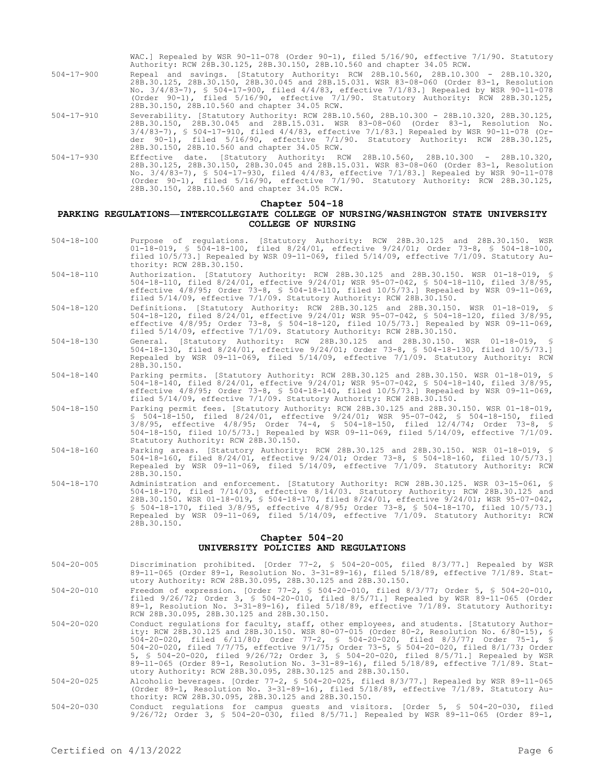|                  | WAC.] Repealed by WSR 90-11-078 (Order 90-1), filed $5/16/90$ , effective $7/1/90$ . Statutory<br>Authority: RCW 28B.30.125, 28B.30.150, 28B.10.560 and chapter 34.05 RCW.                                                                                                                                                                                                                                                 |
|------------------|----------------------------------------------------------------------------------------------------------------------------------------------------------------------------------------------------------------------------------------------------------------------------------------------------------------------------------------------------------------------------------------------------------------------------|
| $504 - 17 - 900$ | Repeal and savings. [Statutory Authority: RCW 28B.10.560, 28B.10.300 - 28B.10.320,<br>28B.30.125, 28B.30.150, 28B.30.045 and 28B.15.031. WSR 83-08-060 (Order 83-1, Resolution<br>No. $3/4/83-7$ , § 504-17-900, filed $4/4/83$ , effective $7/1/83$ . Repealed by WSR 90-11-078<br>(Order 90-1), filed 5/16/90, effective 7/1/90. Statutory Authority: RCW 28B.30.125,<br>28B.30.150, 28B.10.560 and chapter 34.05 RCW.   |
| $504 - 17 - 910$ | Severability. [Statutory Authority: RCW 28B.10.560, 28B.10.300 - 28B.10.320, 28B.30.125,<br>28B.30.150, 28B.30.045 and 28B.15.031. WSR 83-08-060 (Order 83-1, Resolution No.<br>$3/4/83-7$ , § 504-17-910, filed $4/4/83$ , effective 7/1/83.] Repealed by WSR 90-11-078 (Or-<br>der $90-1$ , filed $5/16/90$ , effective $7/1/90$ . Statutory Authority: RCW 28B.30.125,<br>28B.30.150, 28B.10.560 and chapter 34.05 RCW. |
| $504 - 17 - 930$ | Effective date. [Statutory Authority: RCW 28B.10.560, 28B.10.300 - 28B.10.320,<br>28B.30.125, 28B.30.150, 28B.30.045 and 28B.15.031. WSR 83-08-060 (Order 83-1, Resolution<br>No. 3/4/83-7), § 504-17-930, filed 4/4/83, effective 7/1/83.] Repealed by WSR 90-11-078                                                                                                                                                      |

# (Order 90-1), filed 5/16/90, effective 7/1/90. Statutory Authority: RCW 28B.30.125, 28B.30.150, 28B.10.560 and chapter 34.05 RCW.

#### **Chapter 504-18**

### **PARKING REGULATIONS—INTERCOLLEGIATE COLLEGE OF NURSING/WASHINGTON STATE UNIVERSITY COLLEGE OF NURSING**

- 504-18-100 Purpose of regulations. [Statutory Authority: RCW 28B.30.125 and 28B.30.150. WSR 01-18-019, § 504-18-100, filed 8/24/01, effective 9/24/01; Order 73-8, § 504-18-100, filed 10/5/73.] Repealed by WSR 09-11-069, filed 5/14/09, effective 7/1/09. Statutory Authority: RCW 28B.30.150.
- 504-18-110 Authorization. [Statutory Authority: RCW 28B.30.125 and 28B.30.150. WSR 01-18-019, § 504-18-110, filed 8/24/01, effective 9/24/01; WSR 95-07-042, § 504-18-110, filed 3/8/95, effective 4/8/95; Order 73-8, § 504-18-110, filed 10/5/73.] Repealed by WSR 09-11-069, filed 5/14/09, effective 7/1/09. Statutory Authority: RCW 28B.30.150.
- 504-18-120 Definitions. [Statutory Authority: RCW 28B.30.125 and 28B.30.150. WSR 01-18-019, § 504-18-120, filed 8/24/01, effective 9/24/01; WSR 95-07-042, § 504-18-120, filed 3/8/95, effective 4/8/95; Order 73-8, § 504-18-120, filed 10/5/73.] Repealed by WSR 09-11-069, filed 5/14/09, effective 7/1/09. Statutory Authority: RCW 28B.30.150.
- 504-18-130 General. [Statutory Authority: RCW 28B.30.125 and 28B.30.150. WSR 01-18-019, § 504-18-130, filed 8/24/01, effective 9/24/01; Order 73-8, § 504-18-130, filed 10/5/73.] Repealed by WSR 09-11-069, filed 5/14/09, effective 7/1/09. Statutory Authority: RCW 28B.30.150.
- 504-18-140 Parking permits. [Statutory Authority: RCW 28B.30.125 and 28B.30.150. WSR 01-18-019, 504-18-140, filed 8/24/01, effective 9/24/01; WSR 95-07-042, § 504-18-140, filed 3/8/95, effective 4/8/95; Order 73-8, § 504-18-140, filed 10/5/73.] Repealed by WSR 09-11-069, filed 5/14/09, effective 7/1/09. Statutory Authority: RCW 28B.30.150.
- 504-18-150 Parking permit fees. [Statutory Authority: RCW 28B.30.125 and 28B.30.150. WSR 01-18-019, § 504-18-150, filed 8/24/01, effective 9/24/01; WSR 95-07-042, § 504-18-150, filed 3/8/95, effective 4/8/95; Order 74-4, § 504-18-150, filed 12/4/74; Order 73-8, § 504-18-150, filed 10/5/73.] Repealed by WSR 09-11-069, filed 5/14/09, effective 7/1/09. Statutory Authority: RCW 28B.30.150.
- 504-18-160 Parking areas. [Statutory Authority: RCW 28B.30.125 and 28B.30.150. WSR 01-18-019, § 504-18-160, filed 8/24/01, effective 9/24/01; Order 73-8, § 504-18-160, filed 10/5/73.] Repealed by WSR 09-11-069, filed 5/14/09, effective 7/1/09. Statutory Authority: RCW 28B.30.150.
- 504-18-170 Administration and enforcement. [Statutory Authority: RCW 28B.30.125. WSR 03-15-061, § 504-18-170, filed 7/14/03, effective 8/14/03. Statutory Authority: RCW 28B.30.125 and 28B.30.150. WSR 01-18-019, § 504-18-170, filed 8/24/01, effective 9/24/01; WSR 95-07-042, § 504-18-170, filed 3/8/95, effective 4/8/95; Order 73-8, § 504-18-170, filed 10/5/73.] Repealed by WSR 09-11-069, filed 5/14/09, effective 7/1/09. Statutory Authority: RCW 28B.30.150.

### **Chapter 504-20 UNIVERSITY POLICIES AND REGULATIONS**

- 504-20-005 Discrimination prohibited. [Order 77-2, § 504-20-005, filed 8/3/77.] Repealed by WSR 89-11-065 (Order 89-1, Resolution No. 3-31-89-16), filed 5/18/89, effective 7/1/89. Statutory Authority: RCW 28B.30.095, 28B.30.125 and 28B.30.150.
- 504-20-010 Freedom of expression. [Order 77-2, § 504-20-010, filed 8/3/77; Order 5, § 504-20-010, filed 9/26/72; Order 3, § 504-20-010, filed 8/5/71.] Repealed by WSR 89-11-065 (Order 89-1, Resolution No. 3-31-89-16), filed 5/18/89, effective 7/1/89. Statutory Authority: RCW 28B.30.095, 28B.30.125 and 28B.30.150.
- 504-20-020 Conduct regulations for faculty, staff, other employees, and students. [Statutory Authority: RCW 28B.30.125 and 28B.30.150. WSR 80-07-015 (Order 80-2, Resolution No. 6/80-15), § 504-20-020, filed 6/11/80; Order 77-2, § 504-20-020, filed 8/3/77; Order 75-1, § 504-20-020, filed 7/7/75, effective 9/1/75; Order 73-5, § 504-20-020, filed 8/1/73; Order<br>5, § 504-20-020, filed 9/26/72; Order 3, § 504-20-020, filed 8/5/71.] Repealed by WSR<br>89-11-065 (Order 89-1, Resolution No. 3-31-89utory Authority: RCW 28B.30.095, 28B.30.125 and 28B.30.150.
- 504-20-025 Alcoholic beverages. [Order 77-2, § 504-20-025, filed 8/3/77.] Repealed by WSR 89-11-065 (Order 89-1, Resolution No. 3-31-89-16), filed 5/18/89, effective 7/1/89. Statutory Authority: RCW 28B.30.095, 28B.30.125 and 28B.30.150.
- 504-20-030 Conduct regulations for campus guests and visitors. [Order 5, § 504-20-030, filed 9/26/72; Order 3, § 504-20-030, filed 8/5/71.] Repealed by WSR 89-11-065 (Order 89-1,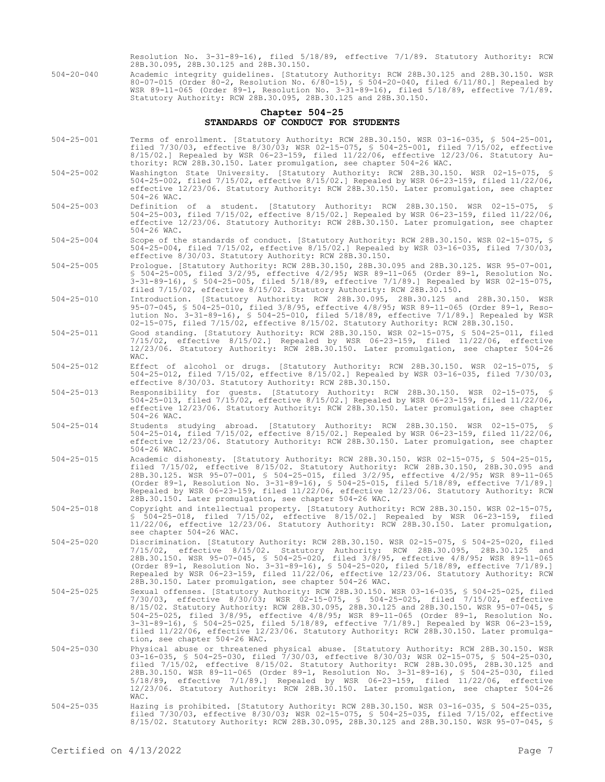Resolution No. 3-31-89-16), filed 5/18/89, effective 7/1/89. Statutory Authority: RCW 28B.30.095, 28B.30.125 and 28B.30.150.

504-20-040 Academic integrity guidelines. [Statutory Authority: RCW 28B.30.125 and 28B.30.150. WSR 80-07-015 (Order 80-2, Resolution No. 6/80-15), § 504-20-040, filed 6/11/80.] Repealed by WSR 89-11-065 (Order 89-1, Resolution No. 3-31-89-16), filed 5/18/89, effective 7/1/89. Statutory Authority: RCW 28B.30.095, 28B.30.125 and 28B.30.150.

## **Chapter 504-25 STANDARDS OF CONDUCT FOR STUDENTS**

- 504-25-001 Terms of enrollment. [Statutory Authority: RCW 28B.30.150. WSR 03-16-035, § 504-25-001, filed 7/30/03, effective 8/30/03; WSR 02-15-075, § 504-25-001, filed 7/15/02, effective 8/15/02.] Repealed by WSR 06-23-159, filed 11/22/06, effective 12/23/06. Statutory Authority: RCW 28B.30.150. Later promulgation, see chapter 504-26 WAC.
- 504-25-002 Washington State University. [Statutory Authority: RCW 28B.30.150. WSR 02-15-075, § 504-25-002, filed 7/15/02, effective 8/15/02.] Repealed by WSR 06-23-159, filed 11/22/06, effective 12/23/06. Statutory Authority: RCW 28B.30.150. Later promulgation, see chapter 504-26 WAC.
- 504-25-003 Definition of a student. [Statutory Authority: RCW 28B.30.150. WSR 02-15-075, § 504-25-003, filed 7/15/02, effective 8/15/02.] Repealed by WSR 06-23-159, filed 11/22/06, effective 12/23/06. Statutory Authority: RCW 28B.30.150. Later promulgation, see chapter 504-26 WAC.
- 504-25-004 Scope of the standards of conduct. [Statutory Authority: RCW 28B.30.150. WSR 02-15-075, § 504-25-004, filed 7/15/02, effective 8/15/02.] Repealed by WSR 03-16-035, filed 7/30/03, effective 8/30/03. Statutory Authority: RCW 28B.30.150.
- 504-25-005 Prologue. [Statutory Authority: RCW 28B.30.150, 28B.30.095 and 28B.30.125. WSR 95-07-001, § 504-25-005, filed 3/2/95, effective 4/2/95; WSR 89-11-065 (Order 89-1, Resolution No. 3-31-89-16), § 504-25-005, filed 5/18/89, effective 7/1/89.] Repealed by WSR 02-15-075, filed 7/15/02, effective 8/15/02. Statutory Authority: RCW 28B.30.150.
- 504-25-010 Introduction. [Statutory Authority: RCW 28B.30.095, 28B.30.125 and 28B.30.150. WSR 95-07-045, § 504-25-010, filed 3/8/95, effective 4/8/95; WSR 89-11-065 (Order 89-1, Resolution No. 3-31-89-16), § 504-25-010, filed 5/18/89, effective 7/1/89.] Repealed by WSR 02-15-075, filed 7/15/02, effective 8/15/02. Statutory Authority: RCW 28B.30.150.
- 504-25-011 Good standing. [Statutory Authority: RCW 28B.30.150. WSR 02-15-075, § 504-25-011, filed 7/15/02, effective 8/15/02.] Repealed by WSR 06-23-159, filed 11/22/06, effective 12/23/06. Statutory Authority: RCW 28B.30.150. Later promulgation, see chapter 504-26 WAC.
- 504-25-012 Effect of alcohol or drugs. [Statutory Authority: RCW 28B.30.150. WSR 02-15-075, § 504-25-012, filed 7/15/02, effective 8/15/02.] Repealed by WSR 03-16-035, filed 7/30/03, effective 8/30/03. Statutory Authority: RCW 28B.30.150.
- 504-25-013 Responsibility for guests. [Statutory Authority: RCW 28B.30.150. WSR 02-15-075, § 504-25-013, filed 7/15/02, effective 8/15/02.] Repealed by WSR 06-23-159, filed 11/22/06, effective 12/23/06. Statutory Authority: RCW 28B.30.150. Later promulgation, see chapter 504-26 WAC.
- 504-25-014 Students studying abroad. [Statutory Authority: RCW 28B.30.150. WSR 02-15-075, § 504-25-014, filed 7/15/02, effective 8/15/02.] Repealed by WSR 06-23-159, filed 11/22/06, effective 12/23/06. Statutory Authority: RCW 28B.30.150. Later promulgation, see chapter 504-26 WAC.
- 504-25-015 Academic dishonesty. [Statutory Authority: RCW 28B.30.150. WSR 02-15-075, § 504-25-015, filed 7/15/02, effective 8/15/02. Statutory Authority: RCW 28B.30.150, 28B.30.095 and 28B.30.125. WSR 95-07-001, § 504-25-015, filed 3/2/95, effective 4/2/95; WSR 89-11-065 (Order 89-1, Resolution No. 3-31-89-16), § 504-25-015, filed 5/18/89, effective 7/1/89.] Repealed by WSR 06-23-159, filed 11/22/06, effective 12/23/06. Statutory Authority: RCW 28B.30.150. Later promulgation, see chapter 504-26 WAC.
- 504-25-018 Copyright and intellectual property. [Statutory Authority: RCW 28B.30.150. WSR 02-15-075, § 504-25-018, filed 7/15/02, effective 8/15/02.] Repealed by WSR 06-23-159, filed 11/22/06, effective 12/23/06. Statutory Authority: RCW 28B.30.150. Later promulgation, see chapter 504-26 WAC.
- 504-25-020 Discrimination. [Statutory Authority: RCW 28B.30.150. WSR 02-15-075, § 504-25-020, filed 7/15/02, effective 8/15/02. Statutory Authority: RCW 28B.30.095, 28B.30.125 and 28B.30.150. WSR 95-07-045, § 504-25-020, filed 3/8/95, effective 4/8/95; WSR 89-11-065 (Order 89-1, Resolution No. 3-31-89-16), § 504-25-020, filed 5/18/89, effective 7/1/89.] Repealed by WSR 06-23-159, filed 11/22/06, effective 12/23/06. Statutory Authority: RCW 28B.30.150. Later promulgation, see chapter 504-26 WAC.
- 504-25-025 Sexual offenses. [Statutory Authority: RCW 28B.30.150. WSR 03-16-035, § 504-25-025, filed 7/30/03, effective 8/30/03; WSR 02-15-075, § 504-25-025, filed 7/15/02, effective 8/15/02. Statutory Authority: RCW 28B.30.095, 28B.30.125 and 28B.30.150. WSR 95-07-045, § 504-25-025, filed 3/8/95, effective 4/8/95; WSR 89-11-065 (Order 89-1, Resolution No. 3-31-89-16), § 504-25-025, filed 5/18/89, effective 7/1/89.] Repealed by WSR 06-23-159, filed 11/22/06, effective 12/23/06. Statutory Authority: RCW 28B.30.150. Later promulgation, see chapter 504-26 WAC.
- 504-25-030 Physical abuse or threatened physical abuse. [Statutory Authority: RCW 28B.30.150. WSR<br>03-16-035, \$ 504-25-030, filed 7/30/03, effective 8/30/03; WSR 02-15-075, \$ 504-25-030,<br>filed 7/15/02, effective 8/15/02. St 28B.30.150. WSR 89-11-065 (Order 89-1, Resolution No. 3-31-89-16), § 504-25-030, filed 5/18/89, effective 7/1/89.] Repealed by WSR 06-23-159, filed 11/22/06, effective 12/23/06. Statutory Authority: RCW 28B.30.150. Later promulgation, see chapter 504-26 WAC.
- 504-25-035 Hazing is prohibited. [Statutory Authority: RCW 28B.30.150. WSR 03-16-035, § 504-25-035, filed 7/30/03, effective 8/30/03; WSR 02-15-075, § 504-25-035, filed 7/15/02, effective 8/15/02. Statutory Authority: RCW 28B.30.095, 28B.30.125 and 28B.30.150. WSR 95-07-045, §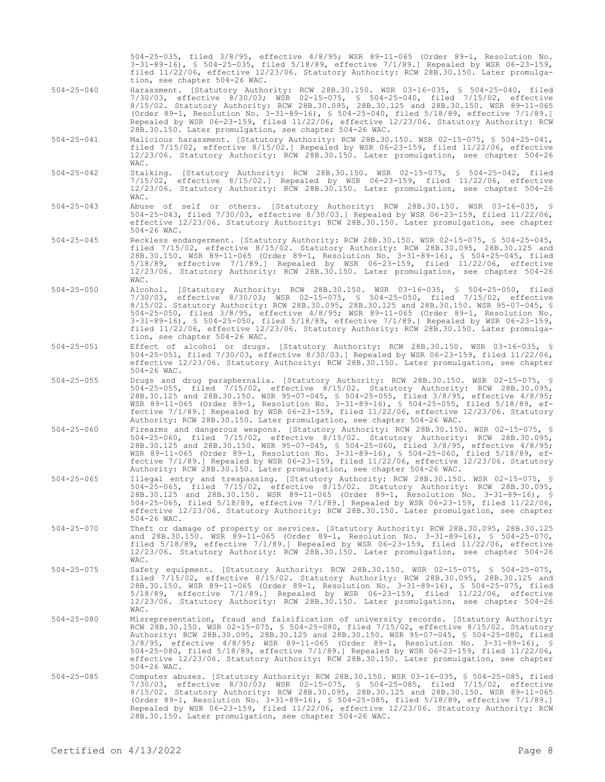504-25-035, filed 3/8/95, effective 4/8/95; WSR 89-11-065 (Order 89-1, Resolution No. 3-31-89-16), § 504-25-035, filed 5/18/89, effective 7/1/89.] Repealed by WSR 06-23-159, filed 11/22/06, effective 12/23/06. Statutory Authority: RCW 28B.30.150. Later promulgation, see chapter 504-26 WAC.

- 504-25-040 Harassment. [Statutory Authority: RCW 28B.30.150. WSR 03-16-035, § 504-25-040, filed 7/30/03, effective 8/30/03; WSR 02-15-075, § 504-25-040, filed 7/15/02, effective 8/15/02. Statutory Authority: RCW 28B.30.095, 28B.30.125 and 28B.30.150. WSR 89-11-065 (Order 89-1, Resolution No. 3-31-89-16), § 504-25-040, filed 5/18/89, effective 7/1/89.] Repealed by WSR 06-23-159, filed 11/22/06, effective 12/23/06. Statutory Authority: RCW 28B.30.150. Later promulgation, see chapter 504-26 WAC.
- 504-25-041 Malicious harassment. [Statutory Authority: RCW 28B.30.150. WSR 02-15-075, § 504-25-041, filed 7/15/02, effective 8/15/02.] Repealed by WSR 06-23-159, filed 11/22/06, effective 12/23/06. Statutory Authority: RCW 28B.30.150. Later promulgation, see chapter 504-26 WAC.
- 504-25-042 Stalking. [Statutory Authority: RCW 28B.30.150. WSR 02-15-075, § 504-25-042, filed 7/15/02, effective 8/15/02.] Repealed by WSR 06-23-159, filed 11/22/06, effective 12/23/06. Statutory Authority: RCW 28B.30.150. Later promulgation, see chapter 504-26 WAC.
- 504-25-043 Abuse of self or others. [Statutory Authority: RCW 28B.30.150. WSR 03-16-035, 504-25-043, filed 7/30/03, effective 8/30/03.] Repealed by WSR 06-23-159, filed 11/22/06, effective 12/23/06. Statutory Authority: RCW 28B.30.150. Later promulgation, see chapter 504-26 WAC.
- 504-25-045 Reckless endangerment. [Statutory Authority: RCW 28B.30.150. WSR 02-15-075, § 504-25-045, filed 7/15/02, effective 8/15/02. Statutory Authority: RCW 28B.30.095, 28B.30.125 and 28B.30.150. WSR 89-11-065 (Order 89-1, Resolution No. 3-31-89-16), § 504-25-045, filed 5/18/89, effective 7/1/89.] Repealed by WSR 06-23-159, filed 11/22/06, effective 12/23/06. Statutory Authority: RCW 28B.30.150. Later promulgation, see chapter 504-26 WAC.
- 504-25-050 Alcohol. [Statutory Authority: RCW 28B.30.150. WSR 03-16-035, § 504-25-050, filed 7/30/03, effective 8/30/03; WSR 02-15-075, § 504-25-050, filed 7/15/02, effective 8/15/02. Statutory Authority: RCW 28B.30.095, 28B.30.125 and 28B.30.150. WSR 95-07-045, § 504-25-050, filed 3/8/95, effective 4/8/95; WSR 89-11-065 (Order 89-1, Resolution No. 3-31-89-16), § 504-25-050, filed 5/18/89, effective 7/1/89.] Repealed by WSR 06-23-159, filed 11/22/06, effective 12/23/06. Statutory Authority: RCW 28B.30.150. Later promulgation, see chapter 504-26 WAC.
- 504-25-051 Effect of alcohol or drugs. [Statutory Authority: RCW 28B.30.150. WSR 03-16-035, § 504-25-051, filed 7/30/03, effective 8/30/03.] Repealed by WSR 06-23-159, filed 11/22/06, effective 12/23/06. Statutory Authority: RCW 28B.30.150. Later promulgation, see chapter 504-26 WAC.
- 504-25-055 Drugs and drug paraphernalia. [Statutory Authority: RCW 28B.30.150. WSR 02-15-075, § 504-25-055, filed 7/15/02, effective 8/15/02. Statutory Authority: RCW 28B.30.095, 28B.30.125 and 28B.30.150. WSR 95-07-045, § 504-25-055, filed 3/8/95, effective 4/8/95; WSR 89-11-065 (Order 89-1, Resolution No. 3-31-89-16), § 504-25-055, filed 5/18/89, effective 7/1/89.] Repealed by WSR 06-23-159, filed 11/22/06, effective 12/23/06. Statutory Authority: RCW 28B.30.150. Later promulgation, see chapter 504-26 WAC.
- 504-25-060 Firearms and dangerous weapons. [Statutory Authority: RCW 28B.30.150. WSR 02-15-075, § 504-25-060, filed 7/15/02, effective 8/15/02. Statutory Authority: RCW 28B.30.095, 28B.30.125 and 28B.30.150. WSR 95-07-045, § 504-25-060, filed 3/8/95, effective 4/8/95; WSR 89-11-065 (Order 89-1, Resolution No. 3-31-89-16), § 504-25-060, filed 5/18/89, effective 7/1/89.] Repealed by WSR 06-23-159, filed 11/22/06, effective 12/23/06. Statutory Authority: RCW 28B.30.150. Later promulgation, see chapter 504-26 WAC.
- 504-25-065 Illegal entry and trespassing. [Statutory Authority: RCW 28B.30.150. WSR 02-15-075, 504-25-065, filed 7/15/02, effective 8/15/02. Statutory Authority: RCW 28B.30.095, 28B.30.125 and 28B.30.150. WSR 89-11-065 (Order 89-1, Resolution No. 3-31-89-16), § 504-25-065, filed 5/18/89, effective 7/1/89.] Repealed by WSR 06-23-159, filed 11/22/06, effective 12/23/06. Statutory Authority: RCW 28B.30.150. Later promulgation, see chapter 504-26 WAC.
- 504-25-070 Theft or damage of property or services. [Statutory Authority: RCW 28B.30.095, 28B.30.125 and 28B.30.150. WSR 89-11-065 (Order 89-1, Resolution No. 3-31-89-16), § 504-25-070, filed 5/18/89, effective 7/1/89.] Repealed by WSR 06-23-159, filed 11/22/06, effective 12/23/06. Statutory Authority: RCW 28B.30.150. Later promulgation, see chapter 504-26 WAC.
- 504-25-075 Safety equipment. [Statutory Authority: RCW 28B.30.150. WSR 02-15-075, § 504-25-075, filed 7/15/02, effective 8/15/02. Statutory Authority: RCW 28B.30.095, 28B.30.125 and 28B.30.150. WSR 89-11-065 (Order 89-1, Resolution No. 3-31-89-16), § 504-25-075, filed 5/18/89, effective 7/1/89.] Repealed by WSR 06-23-159, filed 11/22/06, effective 12/23/06. Statutory Authority: RCW 28B.30.150. Later promulgation, see chapter 504-26 WAC.
- 504-25-080 Misrepresentation, fraud and falsification of university records. [Statutory Authority: RCW 28B.30.150. WSR 02-15-075, § 504-25-080, filed 7/15/02, effective 8/15/02. Statutory Authority: RCW 28B.30.095, 28B.30.125 and 28B.30.150. WSR 95-07-045, § 504-25-080, filed 3/8/95, effective 4/8/95; WSR 89-11-065 (Order 89-1, Resolution No. 3-31-89-16), § 504-25-080, filed 5/18/89, effective 7/1/89.] Repealed by WSR 06-23-159, filed 11/22/06, effective 12/23/06. Statutory Authority: RCW 28B.30.150. Later promulgation, see chapter 504-26 WAC.
- 504-25-085 Computer abuses. [Statutory Authority: RCW 28B.30.150. WSR 03-16-035, § 504-25-085, filed 7/30/03, effective 8/30/03; WSR 02-15-075, § 504-25-085, filed 7/15/02, effective 8/15/02. Statutory Authority: RCW 28B.30.095, 28B.30.125 and 28B.30.150. WSR 89-11-065 (Order 89-1, Resolution No. 3-31-89-16), § 504-25-085, filed 5/18/89, effective 7/1/89.] Repealed by WSR 06-23-159, filed 11/22/06, effective 12/23/06. Statutory Authority: RCW 28B.30.150. Later promulgation, see chapter 504-26 WAC.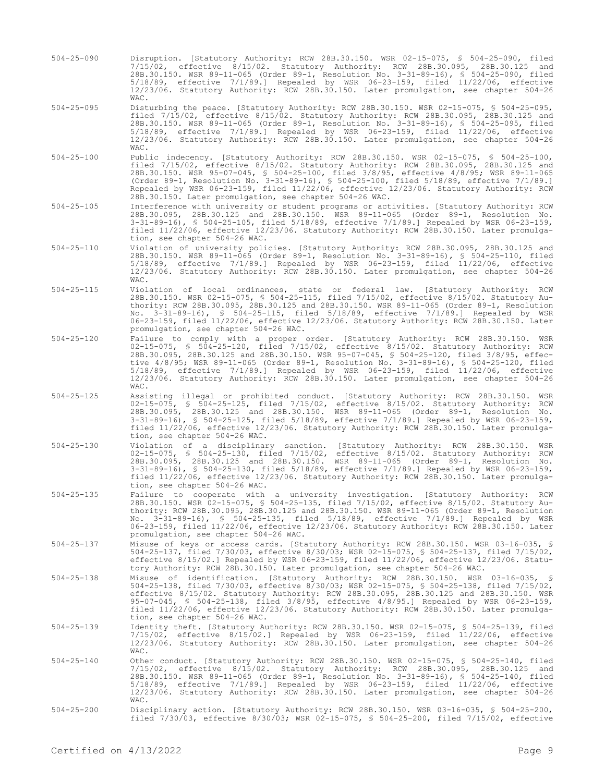- 504-25-090 Disruption. [Statutory Authority: RCW 28B.30.150. WSR 02-15-075, § 504-25-090, filed 7/15/02, effective 8/15/02. Statutory Authority: RCW 28B.30.095, 28B.30.125 and 28B.30.150. WSR 89-11-065 (Order 89-1, Resolution No. 3-31-89-16), § 504-25-090, filed 5/18/89, effective 7/1/89.] Repealed by WSR 06-23-159, filed 11/22/06, effective 12/23/06. Statutory Authority: RCW 28B.30.150. Later promulgation, see chapter 504-26 WAC.
- 504-25-095 Disturbing the peace. [Statutory Authority: RCW 28B.30.150. WSR 02-15-075, § 504-25-095, filed 7/15/02, effective 8/15/02. Statutory Authority: RCW 28B.30.095, 28B.30.125 and 28B.30.150. WSR 89-11-065 (Order 89-1, Resolution No. 3-31-89-16), § 504-25-095, filed 5/18/89, effective 7/1/89.] Repealed by WSR 06-23-159, filed 11/22/06, effective 12/23/06. Statutory Authority: RCW 28B.30.150. Later promulgation, see chapter 504-26 WAC.
- 504-25-100 Public indecency. [Statutory Authority: RCW 28B.30.150. WSR 02-15-075, § 504-25-100, filed 7/15/02, effective 8/15/02. Statutory Authority: RCW 28B.30.095, 28B.30.125 and 28B.30.150. WSR 95-07-045, § 504-25-100, filed 3/8/95, effective 4/8/95; WSR 89-11-065 (Order 89-1, Resolution No. 3-31-89-16), § 504-25-100, filed 5/18/89, effective 7/1/89.] Repealed by WSR 06-23-159, filed 11/22/06, effective 12/23/06. Statutory Authority: RCW 28B.30.150. Later promulgation, see chapter 504-26 WAC.
- 504-25-105 Interference with university or student programs or activities. [Statutory Authority: RCW 28B.30.095, 28B.30.125 and 28B.30.150. WSR 89-11-065 (Order 89-1, Resolution No. 3-31-89-16), § 504-25-105, filed 5/18/89, effective 7/1/89.] Repealed by WSR 06-23-159, filed 11/22/06, effective 12/23/06. Statutory Authority: RCW 28B.30.150. Later promulgation, see chapter 504-26 WAC.
- 504-25-110 Violation of university policies. [Statutory Authority: RCW 28B.30.095, 28B.30.125 and 28B.30.150. WSR 89-11-065 (Order 89-1, Resolution No. 3-31-89-16), § 504-25-110, filed 5/18/89, effective 7/1/89.] Repealed by WSR 06-23-159, filed 11/22/06, effective 12/23/06. Statutory Authority: RCW 28B.30.150. Later promulgation, see chapter 504-26 WAC.
- 504-25-115 Violation of local ordinances, state or federal law. [Statutory Authority: RCW 28B.30.150. WSR 02-15-075, § 504-25-115, filed 7/15/02, effective 8/15/02. Statutory Authority: RCW 28B.30.095, 28B.30.125 and 28B.30.150. WSR 89-11-065 (Order 89-1, Resolution No. 3-31-89-16), § 504-25-115, filed 5/18/89, effective 7/1/89.] Repealed by WSR 06-23-159, filed 11/22/06, effective 12/23/06. Statutory Authority: RCW 28B.30.150. Later promulgation, see chapter 504-26 WAC.
- 504-25-120 Failure to comply with a proper order. [Statutory Authority: RCW 28B.30.150. WSR 02-15-075, § 504-25-120, filed 7/15/02, effective 8/15/02. Statutory Authority: RCW 28B.30.095, 28B.30.125 and 28B.30.150. WSR 95-07-045, § 504-25-120, filed 3/8/95, effective 4/8/95; WSR 89-11-065 (Order 89-1, Resolution No. 3-31-89-16), § 504-25-120, filed 5/18/89, effective 7/1/89.] Repealed by WSR 06-23-159, filed 11/22/06, effective 12/23/06. Statutory Authority: RCW 28B.30.150. Later promulgation, see chapter 504-26 WAC.
- 504-25-125 Assisting illegal or prohibited conduct. [Statutory Authority: RCW 28B.30.150. WSR 02-15-075, § 504-25-125, filed 7/15/02, effective 8/15/02. Statutory Authority: RCW 28B.30.095, 28B.30.125 and 28B.30.150. WSR 89-11-065 (Order 89-1, Resolution No. 3-31-89-16), § 504-25-125, filed 5/18/89, effective 7/1/89.] Repealed by WSR 06-23-159, filed 11/22/06, effective 12/23/06. Statutory Authority: RCW 28B.30.150. Later promulgation, see chapter 504-26 WAC.
- 504-25-130 Violation of a disciplinary sanction. [Statutory Authority: RCW 28B.30.150. WSR 02-15-075, § 504-25-130, filed 7/15/02, effective 8/15/02. Statutory Authority: RCW 28B.30.095, 28B.30.125 and 28B.30.150. WSR 89-11-065 (Order 89-1, Resolution No. 3-31-89-16), § 504-25-130, filed 5/18/89, effective 7/1/89.] Repealed by WSR 06-23-159, filed 11/22/06, effective 12/23/06. Statutory Authority: RCW 28B.30.150. Later promulgation, see chapter 504-26 WAC.
- 504-25-135 Failure to cooperate with a university investigation. [Statutory Authority: RCW 28B.30.150. WSR 02-15-075, § 504-25-135, filed 7/15/02, effective 8/15/02. Statutory Authority: RCW 28B.30.095, 28B.30.125 and 28B.30.150. WSR 89-11-065 (Order 89-1, Resolution No. 3-31-89-16), § 504-25-135, filed 5/18/89, effective 7/1/89.] Repealed by WSR 06-23-159, filed 11/22/06, effective 12/23/06. Statutory Authority: RCW 28B.30.150. Later promulgation, see chapter 504-26 WAC.
- 504-25-137 Misuse of keys or access cards. [Statutory Authority: RCW 28B.30.150. WSR 03-16-035, § 504-25-137, filed 7/30/03, effective 8/30/03; WSR 02-15-075, § 504-25-137, filed 7/15/02, effective 8/15/02.] Repealed by WSR 06-23-159, filed 11/22/06, effective 12/23/06. Statutory Authority: RCW 28B.30.150. Later promulgation, see chapter 504-26 WAC.
- 504-25-138 Misuse of identification. [Statutory Authority: RCW 28B.30.150. WSR 03-16-035, § 504-25-138, filed 7/30/03, effective 8/30/03; WSR 02-15-075, § 504-25-138, filed 7/15/02, effective 8/15/02. Statutory Authority: RCW 28B.30.095, 28B.30.125 and 28B.30.150. WSR 95-07-045, § 504-25-138, filed 3/8/95, effective 4/8/95.] Repealed by WSR 06-23-159, filed 11/22/06, effective 12/23/06. Statutory Authority: RCW 28B.30.150. Later promulgation, see chapter 504-26 WAC.
- 504-25-139 Identity theft. [Statutory Authority: RCW 28B.30.150. WSR 02-15-075, § 504-25-139, filed 7/15/02, effective 8/15/02.] Repealed by WSR 06-23-159, filed 11/22/06, effective 12/23/06. Statutory Authority: RCW 28B.30.150. Later promulgation, see chapter 504-26 WAC.
- 504-25-140 Other conduct. [Statutory Authority: RCW 28B.30.150. WSR 02-15-075, § 504-25-140, filed 7/15/02, effective 8/15/02. Statutory Authority: RCW 28B.30.095, 28B.30.125 and 28B.30.150. WSR 89-11-065 (Order 89-1, Resolution No. 3-31-89-16), § 504-25-140, filed 5/18/89, effective 7/1/89.] Repealed by WSR 06-23-159, filed 11/22/06, effective 12/23/06. Statutory Authority: RCW 28B.30.150. Later promulgation, see chapter 504-26 WAC.
- 504-25-200 Disciplinary action. [Statutory Authority: RCW 28B.30.150. WSR 03-16-035, § 504-25-200, filed 7/30/03, effective 8/30/03; WSR 02-15-075, § 504-25-200, filed 7/15/02, effective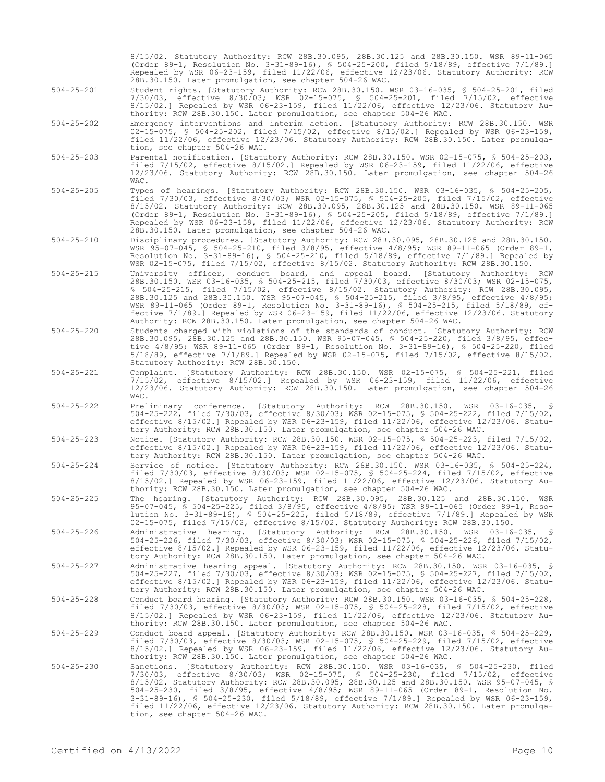|                  | 8/15/02. Statutory Authority: RCW 28B.30.095, 28B.30.125 and 28B.30.150. WSR 89-11-065<br>(Order 89-1, Resolution No. 3-31-89-16), § 504-25-200, filed 5/18/89, effective 7/1/89.]<br>Repealed by WSR 06-23-159, filed 11/22/06, effective 12/23/06. Statutory Authority: RCW                                                                                                                                                                                                                                                                                                                                                               |
|------------------|---------------------------------------------------------------------------------------------------------------------------------------------------------------------------------------------------------------------------------------------------------------------------------------------------------------------------------------------------------------------------------------------------------------------------------------------------------------------------------------------------------------------------------------------------------------------------------------------------------------------------------------------|
| $504 - 25 - 201$ | 28B.30.150. Later promulgation, see chapter 504-26 WAC.<br>Student rights. [Statutory Authority: RCW 28B.30.150. WSR 03-16-035, § 504-25-201, filed<br>7/30/03, effective 8/30/03; WSR 02-15-075, § 504-25-201, filed 7/15/02, effective<br>8/15/02.] Repealed by WSR 06-23-159, filed 11/22/06, effective 12/23/06. Statutory Au-<br>thority: RCW 28B.30.150. Later promulgation, see chapter 504-26 WAC.                                                                                                                                                                                                                                  |
| $504 - 25 - 202$ | Emergency interventions and interim action. [Statutory Authority: RCW 28B.30.150. WSR<br>02-15-075, § 504-25-202, filed 7/15/02, effective 8/15/02.] Repealed by WSR 06-23-159,<br>filed 11/22/06, effective 12/23/06. Statutory Authority: RCW 28B.30.150. Later promulga-<br>tion, see chapter 504-26 WAC.                                                                                                                                                                                                                                                                                                                                |
| $504 - 25 - 203$ | Parental notification. [Statutory Authority: RCW 28B.30.150. WSR 02-15-075, § 504-25-203,<br>filed $7/15/02$ , effective $8/15/02$ . Repealed by WSR 06-23-159, filed $11/22/06$ , effective<br>12/23/06. Statutory Authority: RCW 28B.30.150. Later promulgation, see chapter 504-26<br>WAC.                                                                                                                                                                                                                                                                                                                                               |
| $504 - 25 - 205$ | Types of hearings. [Statutory Authority: RCW 28B.30.150. WSR 03-16-035, § 504-25-205,<br>filed $7/30/03$ , effective $8/30/03$ ; WSR 02-15-075, § 504-25-205, filed $7/15/02$ , effective<br>8/15/02. Statutory Authority: RCW 28B.30.095, 28B.30.125 and 28B.30.150. WSR 89-11-065<br>(Order 89-1, Resolution No. 3-31-89-16), § 504-25-205, filed 5/18/89, effective 7/1/89.]<br>Repealed by WSR 06-23-159, filed 11/22/06, effective 12/23/06. Statutory Authority: RCW<br>28B.30.150. Later promulgation, see chapter 504-26 WAC.                                                                                                       |
| $504 - 25 - 210$ | Disciplinary procedures. [Statutory Authority: RCW 28B.30.095, 28B.30.125 and 28B.30.150.<br>WSR 95-07-045, § 504-25-210, filed 3/8/95, effective 4/8/95; WSR 89-11-065 (Order 89-1,<br>Resolution No. 3-31-89-16), § 504-25-210, filed $5/18/89$ , effective $7/1/89$ . Repealed by<br>WSR 02-15-075, filed 7/15/02, effective 8/15/02. Statutory Authority: RCW 28B.30.150.                                                                                                                                                                                                                                                               |
| $504 - 25 - 215$ | University officer, conduct board, and appeal board. [Statutory Authority: RCW<br>28B.30.150. WSR 03-16-035, § 504-25-215, filed 7/30/03, effective 8/30/03; WSR 02-15-075,<br>\$ 504-25-215, filed 7/15/02, effective 8/15/02. Statutory Authority: RCW 28B.30.095,<br>28B.30.125 and 28B.30.150. WSR 95-07-045, \$ 504-25-215, filed 3/8/95, effective 4/8/95;<br>WSR 89-11-065 (Order 89-1, Resolution No. 3-31-89-16), § 504-25-215, filed 5/18/89, ef-<br>fective $7/1/89$ .] Repealed by WSR 06-23-159, filed $11/22/06$ , effective $12/23/06$ . Statutory<br>Authority: RCW 28B.30.150. Later promulgation, see chapter 504-26 WAC. |
| $504 - 25 - 220$ | Students charged with violations of the standards of conduct. [Statutory Authority: RCW<br>28B.30.095, 28B.30.125 and 28B.30.150. WSR 95-07-045, § 504-25-220, filed 3/8/95, effec-<br>tive 4/8/95; WSR 89-11-065 (Order 89-1, Resolution No. 3-31-89-16), § 504-25-220, filed<br>$5/18/89$ , effective $7/1/89$ . Repealed by WSR 02-15-075, filed $7/15/02$ , effective $8/15/02$ .<br>Statutory Authority: RCW 28B.30.150.                                                                                                                                                                                                               |
| $504 - 25 - 221$ | Complaint. [Statutory Authority: RCW 28B.30.150. WSR 02-15-075, § 504-25-221, filed<br>7/15/02, effective 8/15/02.] Repealed by WSR 06-23-159, filed 11/22/06, effective<br>12/23/06. Statutory Authority: RCW 28B.30.150. Later promulgation, see chapter 504-26<br>WAC.                                                                                                                                                                                                                                                                                                                                                                   |
| $504 - 25 - 222$ | Preliminary conference. [Statutory Authority: RCW 28B.30.150. WSR 03-16-035, §<br>504-25-222, filed 7/30/03, effective 8/30/03; WSR 02-15-075, § 504-25-222, filed 7/15/02,<br>effective $8/15/02$ . Repealed by WSR 06-23-159, filed $11/22/06$ , effective $12/23/06$ . Statu-<br>tory Authority: RCW 28B.30.150. Later promulgation, see chapter 504-26 WAC.                                                                                                                                                                                                                                                                             |
| $504 - 25 - 223$ | Notice. [Statutory Authority: RCW 28B.30.150. WSR 02-15-075, § 504-25-223, filed 7/15/02,<br>effective $8/15/02$ . Repealed by WSR 06-23-159, filed $11/22/06$ , effective $12/23/06$ . Statu-<br>tory Authority: RCW 28B.30.150. Later promulgation, see chapter 504-26 WAC.                                                                                                                                                                                                                                                                                                                                                               |
| $504 - 25 - 224$ | Service of notice. [Statutory Authority: RCW 28B.30.150. WSR 03-16-035, § 504-25-224,<br>filed 7/30/03, effective 8/30/03; WSR 02-15-075, § 504-25-224, filed 7/15/02, effective<br>8/15/02.] Repealed by WSR 06-23-159, filed 11/22/06, effective 12/23/06. Statutory Au-<br>thority: RCW 28B.30.150. Later promulgation, see chapter 504-26 WAC.                                                                                                                                                                                                                                                                                          |
| $504 - 25 - 225$ | The hearing. [Statutory Authority: RCW 28B.30.095, 28B.30.125 and 28B.30.150. WSR<br>95-07-045, § 504-25-225, filed 3/8/95, effective 4/8/95; WSR 89-11-065 (Order 89-1, Reso-<br>lution No. 3-31-89-16), § 504-25-225, filed 5/18/89, effective 7/1/89.] Repealed by WSR<br>02-15-075, filed 7/15/02, effective 8/15/02. Statutory Authority: RCW 28B.30.150.                                                                                                                                                                                                                                                                              |
| $504 - 25 - 226$ | Administrative hearing. [Statutory Authority: RCW 28B.30.150. WSR 03-16-035, §<br>504-25-226, filed 7/30/03, effective 8/30/03; WSR 02-15-075, § 504-25-226, filed 7/15/02,<br>effective $8/15/02$ . Repealed by WSR 06-23-159, filed $11/22/06$ , effective $12/23/06$ . Statu-<br>tory Authority: RCW 28B.30.150. Later promulgation, see chapter 504-26 WAC.                                                                                                                                                                                                                                                                             |
| $504 - 25 - 227$ | Administrative hearing appeal. [Statutory Authority: RCW 28B.30.150. WSR 03-16-035, §<br>504-25-227, filed 7/30/03, effective 8/30/03; WSR 02-15-075, § 504-25-227, filed 7/15/02,<br>effective $8/15/02$ .] Repealed by WSR 06-23-159, filed $11/22/06$ , effective $12/23/06$ . Statu-<br>tory Authority: RCW 28B.30.150. Later promulgation, see chapter 504-26 WAC.                                                                                                                                                                                                                                                                     |
| $504 - 25 - 228$ | Conduct board hearing. [Statutory Authority: RCW 28B.30.150. WSR 03-16-035, \$ 504-25-228,<br>filed $7/30/03$ , effective $8/30/03$ ; WSR 02-15-075, § 504-25-228, filed $7/15/02$ , effective<br>$8/15/02$ .] Repealed by WSR 06-23-159, filed 11/22/06, effective 12/23/06. Statutory Au-<br>thority: RCW 28B.30.150. Later promulgation, see chapter 504-26 WAC.                                                                                                                                                                                                                                                                         |
| $504 - 25 - 229$ | Conduct board appeal. [Statutory Authority: RCW 28B.30.150. WSR 03-16-035, \$ 504-25-229,<br>filed $7/30/03$ , effective $8/30/03$ ; WSR 02-15-075, § 504-25-229, filed $7/15/02$ , effective<br>$8/15/02$ .] Repealed by WSR 06-23-159, filed 11/22/06, effective 12/23/06. Statutory Au-<br>thority: RCW 28B.30.150. Later promulgation, see chapter 504-26 WAC.                                                                                                                                                                                                                                                                          |
| $504 - 25 - 230$ | Sanctions. [Statutory Authority: RCW 28B.30.150. WSR 03-16-035, § 504-25-230, filed<br>7/30/03, effective 8/30/03; WSR 02-15-075, § 504-25-230, filed 7/15/02, effective<br>8/15/02. Statutory Authority: RCW 28B.30.095, 28B.30.125 and 28B.30.150. WSR 95-07-045, \$<br>504-25-230, filed 3/8/95, effective 4/8/95; WSR 89-11-065 (Order 89-1, Resolution No.<br>$3-31-89-16$ , § 504-25-230, filed 5/18/89, effective 7/1/89.] Repealed by WSR 06-23-159,<br>filed 11/22/06, effective 12/23/06. Statutory Authority: RCW 28B.30.150. Later promulga-<br>tion, see chapter 504-26 WAC.                                                   |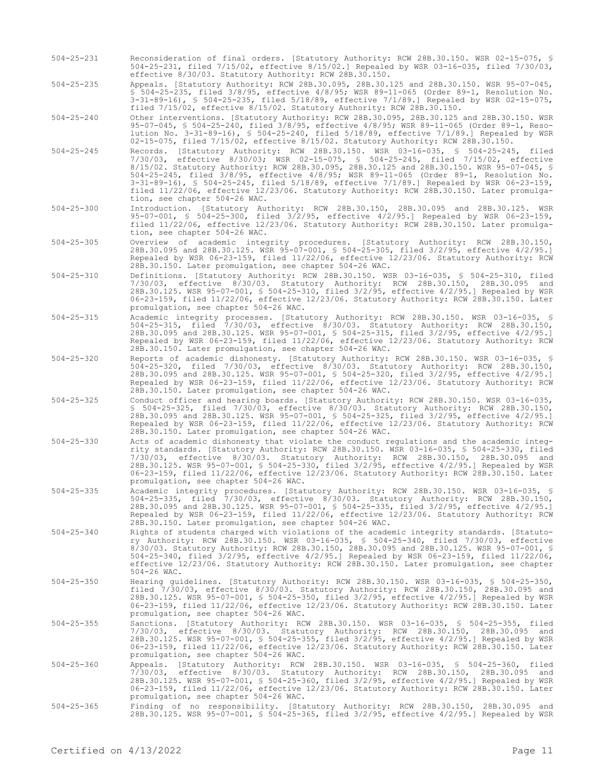504-25-231 Reconsideration of final orders. [Statutory Authority: RCW 28B.30.150. WSR 02-15-075, § 504-25-231, filed 7/15/02, effective 8/15/02.] Repealed by WSR 03-16-035, filed 7/30/03, effective 8/30/03. Statutory Authority: RCW 28B.30.150.

504-25-235 Appeals. [Statutory Authority: RCW 28B.30.095, 28B.30.125 and 28B.30.150. WSR 95-07-045, § 504-25-235, filed 3/8/95, effective 4/8/95; WSR 89-11-065 (Order 89-1, Resolution No. 3-31-89-16), § 504-25-235, filed 5/18/89, effective 7/1/89.] Repealed by WSR 02-15-075, filed 7/15/02, effective 8/15/02. Statutory Authority: RCW 28B.30.150.

504-25-240 Other interventions. [Statutory Authority: RCW 28B.30.095, 28B.30.125 and 28B.30.150. WSR 95-07-045, § 504-25-240, filed 3/8/95, effective 4/8/95; WSR 89-11-065 (Order 89-1, Resolution No. 3-31-89-16), § 504-25-240, filed 5/18/89, effective 7/1/89.] Repealed by WSR 02-15-075, filed 7/15/02, effective 8/15/02. Statutory Authority: RCW 28B.30.150.

- 504-25-245 Records. [Statutory Authority: RCW 28B.30.150. WSR 03-16-035, § 504-25-245, filed 7/30/03, effective 8/30/03; WSR 02-15-075, § 504-25-245, filed 7/15/02, effective 8/15/02. Statutory Authority: RCW 28B.30.095, 28B.30.125 and 28B.30.150. WSR 95-07-045, § 504-25-245, filed 3/8/95, effective 4/8/95; WSR 89-11-065 (Order 89-1, Resolution No. 3-31-89-16), § 504-25-245, filed 5/18/89, effective 7/1/89.] Repealed by WSR 06-23-159, filed 11/22/06, effective 12/23/06. Statutory Authority: RCW 28B.30.150. Later promulgation, see chapter 504-26 WAC.
- 504-25-300 Introduction. [Statutory Authority: RCW 28B.30.150, 28B.30.095 and 28B.30.125. WSR 95-07-001, § 504-25-300, filed 3/2/95, effective 4/2/95.] Repealed by WSR 06-23-159, filed 11/22/06, effective 12/23/06. Statutory Authority: RCW 28B.30.150. Later promulgation, see chapter 504-26 WAC.
- 504-25-305 Overview of academic integrity procedures. [Statutory Authority: RCW 28B.30.150, 28B.30.095 and 28B.30.125. WSR 95-07-001, § 504-25-305, filed 3/2/95, effective 4/2/95.] Repealed by WSR 06-23-159, filed 11/22/06, effective 12/23/06. Statutory Authority: RCW 28B.30.150. Later promulgation, see chapter 504-26 WAC.
- 504-25-310 Definitions. [Statutory Authority: RCW 28B.30.150. WSR 03-16-035, § 504-25-310, filed 7/30/03, effective 8/30/03. Statutory Authority: RCW 28B.30.150, 28B.30.095 and 28B.30.125. WSR 95-07-001, § 504-25-310, filed 3/2/95, effective 4/2/95.] Repealed by WSR 06-23-159, filed 11/22/06, effective 12/23/06. Statutory Authority: RCW 28B.30.150. Later promulgation, see chapter 504-26 WAC.
- 504-25-315 Academic integrity processes. [Statutory Authority: RCW 28B.30.150. WSR 03-16-035, § 504-25-315, filed 7/30/03, effective 8/30/03. Statutory Authority: RCW 28B.30.150, 28B.30.095 and 28B.30.125. WSR 95-07-001, § 504-25-315, filed 3/2/95, effective 4/2/95.] Repealed by WSR 06-23-159, filed 11/22/06, effective 12/23/06. Statutory Authority: RCW 28B.30.150. Later promulgation, see chapter 504-26 WAC.
- 504-25-320 Reports of academic dishonesty. [Statutory Authority: RCW 28B.30.150. WSR 03-16-035, § 504-25-320, filed 7/30/03, effective 8/30/03. Statutory Authority: RCW 28B.30.150, 28B.30.095 and 28B.30.125. WSR 95-07-001, § 504-25-320, filed 3/2/95, effective 4/2/95.] Repealed by WSR 06-23-159, filed 11/22/06, effective 12/23/06. Statutory Authority: RCW 28B.30.150. Later promulgation, see chapter 504-26 WAC.
- 504-25-325 Conduct officer and hearing boards. [Statutory Authority: RCW 28B.30.150. WSR 03-16-035, § 504-25-325, filed 7/30/03, effective 8/30/03. Statutory Authority: RCW 28B.30.150, 28B.30.095 and 28B.30.125. WSR 95-07-001, § 504-25-325, filed 3/2/95, effective 4/2/95.] Repealed by WSR 06-23-159, filed 11/22/06, effective 12/23/06. Statutory Authority: RCW 28B.30.150. Later promulgation, see chapter 504-26 WAC.
- 504-25-330 Acts of academic dishonesty that violate the conduct regulations and the academic integrity standards. [Statutory Authority: RCW 28B.30.150. WSR 03-16-035, § 504-25-330, filed 7/30/03, effective 8/30/03. Statutory Authority: RCW 28B.30.150, 28B.30.095 and 28B.30.125. WSR 95-07-001, § 504-25-330, filed 3/2/95, effective 4/2/95.] Repealed by WSR 06-23-159, filed 11/22/06, effective 12/23/06. Statutory Authority: RCW 28B.30.150. Later promulgation, see chapter 504-26 WAC.
- 504-25-335 Academic integrity procedures. [Statutory Authority: RCW 28B.30.150. WSR 03-16-035, § 504-25-335, filed 7/30/03, effective 8/30/03. Statutory Authority: RCW 28B.30.150, 28B.30.095 and 28B.30.125. WSR 95-07-001, § 504-25-335, filed 3/2/95, effective 4/2/95.] Repealed by WSR 06-23-159, filed 11/22/06, effective 12/23/06. Statutory Authority: RCW 28B.30.150. Later promulgation, see chapter 504-26 WAC.
- 504-25-340 Rights of students charged with violations of the academic integrity standards. [Statutory Authority: RCW 28B.30.150. WSR 03-16-035, § 504-25-340, filed 7/30/03, effective 8/30/03. Statutory Authority: RCW 28B.30.150, 28B.30.095 and 28B.30.125. WSR 95-07-001, § 504-25-340, filed 3/2/95, effective 4/2/95.] Repealed by WSR 06-23-159, filed 11/22/06, effective 12/23/06. Statutory Authority: RCW 28B.30.150. Later promulgation, see chapter 504-26 WAC.
- 504-25-350 Hearing guidelines. [Statutory Authority: RCW 28B.30.150. WSR 03-16-035, § 504-25-350, filed 7/30/03, effective 8/30/03. Statutory Authority: RCW 28B.30.150, 28B.30.095 and 28B.30.125. WSR 95-07-001, § 504-25-350, filed 3/2/95, effective 4/2/95.] Repealed by WSR 06-23-159, filed 11/22/06, effective 12/23/06. Statutory Authority: RCW 28B.30.150. Later promulgation, see chapter 504-26 WAC.
- 504-25-355 Sanctions. [Statutory Authority: RCW 28B.30.150. WSR 03-16-035, § 504-25-355, filed 7/30/03, effective 8/30/03. Statutory Authority: RCW 28B.30.150, 28B.30.095 and 28B.30.125. WSR 95-07-001, § 504-25-355, filed 3/2/95, effective 4/2/95.] Repealed by WSR 06-23-159, filed 11/22/06, effective 12/23/06. Statutory Authority: RCW 28B.30.150. Later promulgation, see chapter 504-26 WAC.
- 504-25-360 Appeals. [Statutory Authority: RCW 28B.30.150. WSR 03-16-035, § 504-25-360, filed 7/30/03, effective 8/30/03. Statutory Authority: RCW 28B.30.150, 28B.30.095 and 28B.30.125. WSR 95-07-001, § 504-25-360, filed 3/2/95, effective 4/2/95.] Repealed by WSR 06-23-159, filed 11/22/06, effective 12/23/06. Statutory Authority: RCW 28B.30.150. Later promulgation, see chapter 504-26 WAC.
- 504-25-365 Finding of no responsibility. [Statutory Authority: RCW 28B.30.150, 28B.30.095 and 28B.30.125. WSR 95-07-001, § 504-25-365, filed 3/2/95, effective 4/2/95.] Repealed by WSR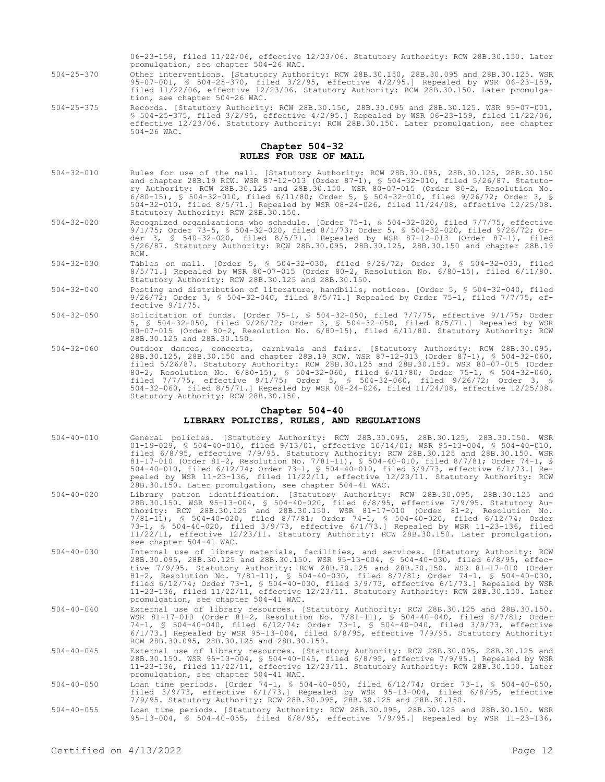06-23-159, filed 11/22/06, effective 12/23/06. Statutory Authority: RCW 28B.30.150. Later promulgation, see chapter 504-26 WAC.

- 504-25-370 Other interventions. [Statutory Authority: RCW 28B.30.150, 28B.30.095 and 28B.30.125. WSR 95-07-001, § 504-25-370, filed 3/2/95, effective 4/2/95.] Repealed by WSR 06-23-159, filed 11/22/06, effective 12/23/06. Statutory Authority: RCW 28B.30.150. Later promulgation, see chapter 504-26 WAC.
- 504-25-375 Records. [Statutory Authority: RCW 28B.30.150, 28B.30.095 and 28B.30.125. WSR 95-07-001, § 504-25-375, filed 3/2/95, effective 4/2/95.] Repealed by WSR 06-23-159, filed 11/22/06, effective 12/23/06. Statutory Authority: RCW 28B.30.150. Later promulgation, see chapter 504-26 WAC.

### **Chapter 504-32 RULES FOR USE OF MALL**

- 504-32-010 Rules for use of the mall. [Statutory Authority: RCW 28B.30.095, 28B.30.125, 28B.30.150 and chapter 28B.19 RCW. WSR 87-12-013 (Order 87-1), § 504-32-010, filed 5/26/87. Statutory Authority: RCW 28B.30.125 and 28B.30.150. WSR 80-07-015 (Order 80-2, Resolution No. 6/80-15), § 504-32-010, filed 6/11/80; Order 5, § 504-32-010, filed 9/26/72; Order 3, § 504-32-010, filed 8/5/71.] Repealed by WSR 08-24-026, filed 11/24/08, effective 12/25/08. Statutory Authority: RCW 28B.30.150.
- 504-32-020 Recognized organizations who schedule. [Order 75-1, § 504-32-020, filed 7/7/75, effective 9/1/75; Order 73-5, § 504-32-020, filed 8/1/73; Order 5, § 504-32-020, filed 9/26/72; Order 3, § 540-32-020, filed 8/5/71.] Repealed by WSR 87-12-013 (Order 87-1), filed 5/26/87. Statutory Authority: RCW 28B.30.095, 28B.30.125, 28B.30.150 and chapter 28B.19 RCW.
- 504-32-030 Tables on mall. [Order 5, § 504-32-030, filed 9/26/72; Order 3, § 504-32-030, filed 8/5/71.] Repealed by WSR 80-07-015 (Order 80-2, Resolution No. 6/80-15), filed 6/11/80. Statutory Authority: RCW 28B.30.125 and 28B.30.150.
- 504-32-040 Posting and distribution of literature, handbills, notices. [Order 5, § 504-32-040, filed 9/26/72; Order 3, § 504-32-040, filed 8/5/71.] Repealed by Order 75-1, filed 7/7/75, effective 9/1/75.
- 504-32-050 Solicitation of funds. [Order 75-1, § 504-32-050, filed 7/7/75, effective 9/1/75; Order 5, § 504-32-050, filed 9/26/72; Order 3, § 504-32-050, filed 8/5/71.] Repealed by WSR 80-07-015 (Order 80-2, Resolution No. 6/80-15), filed 6/11/80. Statutory Authority: RCW 28B.30.125 and 28B.30.150.
- 504-32-060 Outdoor dances, concerts, carnivals and fairs. [Statutory Authority: RCW 28B.30.095, 28B.30.125, 28B.30.150 and chapter 28B.19 RCW. WSR 87-12-013 (Order 87-1), § 504-32-060, filed 5/26/87. Statutory Authority: RCW 28B.30.125 and 28B.30.150. WSR 80-07-015 (Order 80-2, Resolution No. 6/80-15), § 504-32-060, filed 6/11/80; Order 75-1, § 504-32-060, filed 7/7/75, effective 9/1/75; Order 5, § 504-32-060, filed 9/26/72; Order 3, § 504-32-060, filed 8/5/71.] Repealed by WSR 08-24-026, filed 11/24/08, effective 12/25/08. Statutory Authority: RCW 28B.30.150.

#### **Chapter 504-40 LIBRARY POLICIES, RULES, AND REGULATIONS**

- 504-40-010 General policies. [Statutory Authority: RCW 28B.30.095, 28B.30.125, 28B.30.150. WSR 01-19-029, § 504-40-010, filed 9/13/01, effective 10/14/01; WSR 95-13-004, § 504-40-010, filed 6/8/95, effective 7/9/95. Statutory Authority: RCW 28B.30.125 and 28B.30.150. WSR 81-17-010 (Order 81-2, Resolution No. 7/81-11), § 504-40-010, filed 8/7/81; Order 74-1, § 504-40-010, filed 6/12/74; Order 73-1, § 504-40-010, filed 3/9/73, effective 6/1/73.] Repealed by WSR 11-23-136, filed 11/22/11, effective 12/23/11. Statutory Authority: RCW 28B.30.150. Later promulgation, see chapter 504-41 WAC.
- 504-40-020 Library patron identification. [Statutory Authority: RCW 28B.30.095, 28B.30.125 and 28B.30.150. WSR 95-13-004, § 504-40-020, filed 6/8/95, effective 7/9/95. Statutory Authority: RCW 28B.30.125 and 28B.30.150. WSR 81-17-010 (Order 81-2, Resolution No. 7/81-11), § 504-40-020, filed 8/7/81; Order 74-1, § 504-40-020, filed 6/12/74; Order 73-1, § 504-40-020, filed 3/9/73, effective 6/1/73.] Repealed by WSR 11-23-136, filed 11/22/11, effective 12/23/11. Statutory Authority: RCW 28B.30.150. Later promulgation, see chapter 504-41 WAC.
- 504-40-030 Internal use of library materials, facilities, and services. [Statutory Authority: RCW 28B.30.095, 28B.30.125 and 28B.30.150. WSR 95-13-004, § 504-40-030, filed 6/8/95, effective 7/9/95. Statutory Authority: RCW 28B.30.125 and 28B.30.150. WSR 81-17-010 (Order 81-2, Resolution No. 7/81-11), § 504-40-030, filed 8/7/81; Order 74-1, § 504-40-030, filed 6/12/74; Order 73-1, § 504-40-030, filed 3/9/73, effective 6/1/73.] Repealed by WSR 11-23-136, filed 11/22/11, effective 12/23/11. Statutory Authority: RCW 28B.30.150. Later promulgation, see chapter 504-41 WAC.
- 504-40-040 External use of library resources. [Statutory Authority: RCW 28B.30.125 and 28B.30.150. WSR 81-17-010 (Order 81-2, Resolution No. 7/81-11), § 504-40-040, filed 8/7/81; Order 74-1, § 504-40-040, filed 6/12/74; Order 73-1, § 504-40-040, filed 3/9/73, effective 6/1/73.] Repealed by WSR 95-13-004, filed 6/8/95, effective 7/9/95. Statutory Authority: RCW 28B.30.095, 28B.30.125 and 28B.30.150.
- External use of library resources. [Statutory Authority: RCW 28B.30.095, 28B.30.125 and<br>28B.30.150. WSR 95-13-004, \$ 504-40-045, filed 6/8/95, effective 7/9/95.] Repealed by WSR<br>11-23-136, filed 11/22/11, effective 12/23/1 promulgation, see chapter 504-41 WAC.
- 504-40-050 Loan time periods. [Order 74-1, § 504-40-050, filed 6/12/74; Order 73-1, § 504-40-050, filed 3/9/73, effective 6/1/73.] Repealed by WSR 95-13-004, filed 6/8/95, effective 7/9/95. Statutory Authority: RCW 28B.30.095, 28B.30.125 and 28B.30.150.
- 504-40-055 Loan time periods. [Statutory Authority: RCW 28B.30.095, 28B.30.125 and 28B.30.150. WSR 95-13-004, § 504-40-055, filed 6/8/95, effective 7/9/95.] Repealed by WSR 11-23-136,